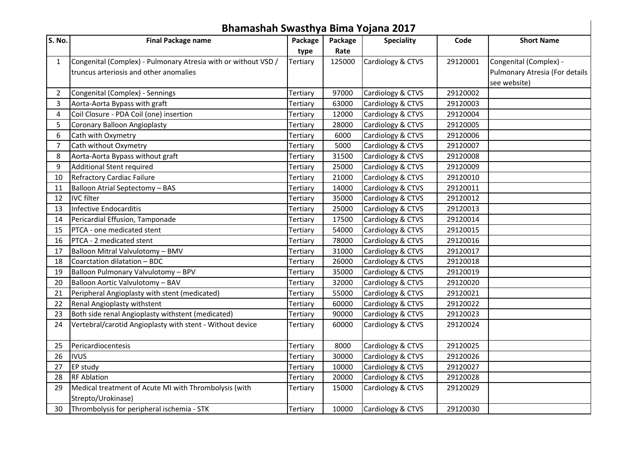|        | Bhamashah Swasthya Bima Yojana 2017                                         |                             |                |                                        |          |                                |  |  |  |  |
|--------|-----------------------------------------------------------------------------|-----------------------------|----------------|----------------------------------------|----------|--------------------------------|--|--|--|--|
| S. No. | <b>Final Package name</b>                                                   | Package                     | Package        | <b>Speciality</b>                      | Code     | <b>Short Name</b>              |  |  |  |  |
|        |                                                                             | type                        | Rate           |                                        |          |                                |  |  |  |  |
| 1      | Congenital (Complex) - Pulmonary Atresia with or without VSD /              | Tertiary                    | 125000         | Cardiology & CTVS                      | 29120001 | Congenital (Complex) -         |  |  |  |  |
|        | truncus arteriosis and other anomalies                                      |                             |                |                                        |          | Pulmonary Atresia (For details |  |  |  |  |
|        |                                                                             |                             |                |                                        |          | see website)                   |  |  |  |  |
| 2      | Congenital (Complex) - Sennings                                             | Tertiary                    | 97000          | Cardiology & CTVS                      | 29120002 |                                |  |  |  |  |
| 3      | Aorta-Aorta Bypass with graft                                               | Tertiary                    | 63000          | Cardiology & CTVS                      | 29120003 |                                |  |  |  |  |
| 4      | Coil Closure - PDA Coil (one) insertion                                     | Tertiary                    | 12000          | Cardiology & CTVS                      | 29120004 |                                |  |  |  |  |
| 5      | Coronary Balloon Angioplasty                                                | Tertiary                    | 28000          | Cardiology & CTVS                      | 29120005 |                                |  |  |  |  |
| 6      | Cath with Oxymetry                                                          | Tertiary                    | 6000           | Cardiology & CTVS                      | 29120006 |                                |  |  |  |  |
| 7      | Cath without Oxymetry                                                       | Tertiary                    | 5000           | Cardiology & CTVS                      | 29120007 |                                |  |  |  |  |
| 8      | Aorta-Aorta Bypass without graft                                            | Tertiary                    | 31500          | Cardiology & CTVS                      | 29120008 |                                |  |  |  |  |
| 9      | Additional Stent required                                                   | Tertiary                    | 25000          | Cardiology & CTVS                      | 29120009 |                                |  |  |  |  |
| 10     | Refractory Cardiac Failure                                                  | Tertiary                    | 21000          | Cardiology & CTVS                      | 29120010 |                                |  |  |  |  |
| 11     | Balloon Atrial Septectomy - BAS                                             | Tertiary                    | 14000          | Cardiology & CTVS                      | 29120011 |                                |  |  |  |  |
| 12     | <b>IVC</b> filter                                                           | Tertiary                    | 35000          | Cardiology & CTVS                      | 29120012 |                                |  |  |  |  |
| 13     | Infective Endocarditis                                                      | Tertiary                    | 25000          | Cardiology & CTVS                      | 29120013 |                                |  |  |  |  |
| 14     | Pericardial Effusion, Tamponade                                             | Tertiary                    | 17500          | Cardiology & CTVS                      | 29120014 |                                |  |  |  |  |
| 15     | PTCA - one medicated stent                                                  | Tertiary                    | 54000          | Cardiology & CTVS                      | 29120015 |                                |  |  |  |  |
| 16     | PTCA - 2 medicated stent                                                    | Tertiary                    | 78000          | Cardiology & CTVS                      | 29120016 |                                |  |  |  |  |
| 17     | Balloon Mitral Valvulotomy - BMV                                            | Tertiary                    | 31000          | Cardiology & CTVS                      | 29120017 |                                |  |  |  |  |
| 18     | Coarctation dilatation - BDC                                                | Tertiary                    | 26000          | Cardiology & CTVS                      | 29120018 |                                |  |  |  |  |
| 19     | Balloon Pulmonary Valvulotomy - BPV                                         | Tertiary                    | 35000          | Cardiology & CTVS                      | 29120019 |                                |  |  |  |  |
| 20     | Balloon Aortic Valvulotomy - BAV                                            | Tertiary                    | 32000          | Cardiology & CTVS                      | 29120020 |                                |  |  |  |  |
| 21     | Peripheral Angioplasty with stent (medicated)                               | Tertiary                    | 55000          | Cardiology & CTVS                      | 29120021 |                                |  |  |  |  |
| 22     | Renal Angioplasty withstent                                                 | Tertiary                    | 60000          | Cardiology & CTVS                      | 29120022 |                                |  |  |  |  |
| 23     | Both side renal Angioplasty withstent (medicated)                           | Tertiary                    | 90000          | Cardiology & CTVS                      | 29120023 |                                |  |  |  |  |
| 24     | Vertebral/carotid Angioplasty with stent - Without device                   | Tertiary                    | 60000          | Cardiology & CTVS                      | 29120024 |                                |  |  |  |  |
| 25     | Pericardiocentesis                                                          |                             | 8000           | Cardiology & CTVS                      | 29120025 |                                |  |  |  |  |
| 26     | <b>IVUS</b>                                                                 | Tertiary                    |                |                                        | 29120026 |                                |  |  |  |  |
| 27     | <b>EP study</b>                                                             | <b>Tertiary</b><br>Tertiary | 30000<br>10000 | Cardiology & CTVS<br>Cardiology & CTVS | 29120027 |                                |  |  |  |  |
|        |                                                                             |                             |                |                                        |          |                                |  |  |  |  |
| 28     | <b>RF Ablation</b>                                                          | Tertiary                    | 20000          | Cardiology & CTVS<br>Cardiology & CTVS | 29120028 |                                |  |  |  |  |
| 29     | Medical treatment of Acute MI with Thrombolysis (with<br>Strepto/Urokinase) | Tertiary                    | 15000          |                                        | 29120029 |                                |  |  |  |  |
| 30     | Thrombolysis for peripheral ischemia - STK                                  | Tertiary                    | 10000          | Cardiology & CTVS                      | 29120030 |                                |  |  |  |  |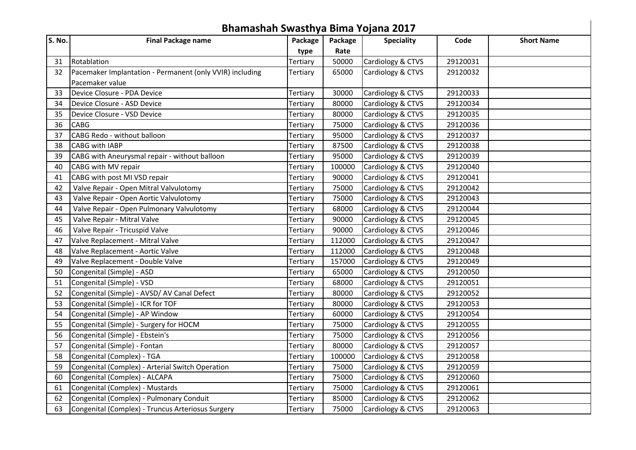|        | Bhamashah Swasthya Bima Yojana 2017                      |          |         |                   |          |                   |  |  |  |  |
|--------|----------------------------------------------------------|----------|---------|-------------------|----------|-------------------|--|--|--|--|
| S. No. | <b>Final Package name</b>                                | Package  | Package | <b>Speciality</b> | Code     | <b>Short Name</b> |  |  |  |  |
|        |                                                          | type     | Rate    |                   |          |                   |  |  |  |  |
| 31     | Rotablation                                              | Tertiary | 50000   | Cardiology & CTVS | 29120031 |                   |  |  |  |  |
| 32     | Pacemaker Implantation - Permanent (only VVIR) including | Tertiary | 65000   | Cardiology & CTVS | 29120032 |                   |  |  |  |  |
|        | Pacemaker value                                          |          |         |                   |          |                   |  |  |  |  |
| 33     | Device Closure - PDA Device                              | Tertiary | 30000   | Cardiology & CTVS | 29120033 |                   |  |  |  |  |
| 34     | Device Closure - ASD Device                              | Tertiary | 80000   | Cardiology & CTVS | 29120034 |                   |  |  |  |  |
| 35     | Device Closure - VSD Device                              | Tertiary | 80000   | Cardiology & CTVS | 29120035 |                   |  |  |  |  |
| 36     | <b>CABG</b>                                              | Tertiary | 75000   | Cardiology & CTVS | 29120036 |                   |  |  |  |  |
| 37     | CABG Redo - without balloon                              | Tertiary | 95000   | Cardiology & CTVS | 29120037 |                   |  |  |  |  |
| 38     | <b>CABG with IABP</b>                                    | Tertiary | 87500   | Cardiology & CTVS | 29120038 |                   |  |  |  |  |
| 39     | CABG with Aneurysmal repair - without balloon            | Tertiary | 95000   | Cardiology & CTVS | 29120039 |                   |  |  |  |  |
| 40     | CABG with MV repair                                      | Tertiary | 100000  | Cardiology & CTVS | 29120040 |                   |  |  |  |  |
| 41     | CABG with post MI VSD repair                             | Tertiary | 90000   | Cardiology & CTVS | 29120041 |                   |  |  |  |  |
| 42     | Valve Repair - Open Mitral Valvulotomy                   | Tertiary | 75000   | Cardiology & CTVS | 29120042 |                   |  |  |  |  |
| 43     | Valve Repair - Open Aortic Valvulotomy                   | Tertiary | 75000   | Cardiology & CTVS | 29120043 |                   |  |  |  |  |
| 44     | Valve Repair - Open Pulmonary Valvulotomy                | Tertiary | 68000   | Cardiology & CTVS | 29120044 |                   |  |  |  |  |
| 45     | Valve Repair - Mitral Valve                              | Tertiary | 90000   | Cardiology & CTVS | 29120045 |                   |  |  |  |  |
| 46     | Valve Repair - Tricuspid Valve                           | Tertiary | 90000   | Cardiology & CTVS | 29120046 |                   |  |  |  |  |
| 47     | Valve Replacement - Mitral Valve                         | Tertiary | 112000  | Cardiology & CTVS | 29120047 |                   |  |  |  |  |
| 48     | Valve Replacement - Aortic Valve                         | Tertiary | 112000  | Cardiology & CTVS | 29120048 |                   |  |  |  |  |
| 49     | Valve Replacement - Double Valve                         | Tertiary | 157000  | Cardiology & CTVS | 29120049 |                   |  |  |  |  |
| 50     | Congenital (Simple) - ASD                                | Tertiary | 65000   | Cardiology & CTVS | 29120050 |                   |  |  |  |  |
| 51     | Congenital (Simple) - VSD                                | Tertiary | 68000   | Cardiology & CTVS | 29120051 |                   |  |  |  |  |
| 52     | Congenital (Simple) - AVSD/AV Canal Defect               | Tertiary | 80000   | Cardiology & CTVS | 29120052 |                   |  |  |  |  |
| 53     | Congenital (Simple) - ICR for TOF                        | Tertiary | 80000   | Cardiology & CTVS | 29120053 |                   |  |  |  |  |
| 54     | Congenital (Simple) - AP Window                          | Tertiary | 60000   | Cardiology & CTVS | 29120054 |                   |  |  |  |  |
| 55     | Congenital (Simple) - Surgery for HOCM                   | Tertiary | 75000   | Cardiology & CTVS | 29120055 |                   |  |  |  |  |
| 56     | Congenital (Simple) - Ebstein's                          | Tertiary | 75000   | Cardiology & CTVS | 29120056 |                   |  |  |  |  |
| 57     | Congenital (Simple) - Fontan                             | Tertiary | 80000   | Cardiology & CTVS | 29120057 |                   |  |  |  |  |
| 58     | Congenital (Complex) - TGA                               | Tertiary | 100000  | Cardiology & CTVS | 29120058 |                   |  |  |  |  |
| 59     | Congenital (Complex) - Arterial Switch Operation         | Tertiary | 75000   | Cardiology & CTVS | 29120059 |                   |  |  |  |  |
| 60     | Congenital (Complex) - ALCAPA                            | Tertiary | 75000   | Cardiology & CTVS | 29120060 |                   |  |  |  |  |
| 61     | Congenital (Complex) - Mustards                          | Tertiary | 75000   | Cardiology & CTVS | 29120061 |                   |  |  |  |  |
| 62     | Congenital (Complex) - Pulmonary Conduit                 | Tertiary | 85000   | Cardiology & CTVS | 29120062 |                   |  |  |  |  |
| 63     | Congenital (Complex) - Truncus Arteriosus Surgery        | Tertiary | 75000   | Cardiology & CTVS | 29120063 |                   |  |  |  |  |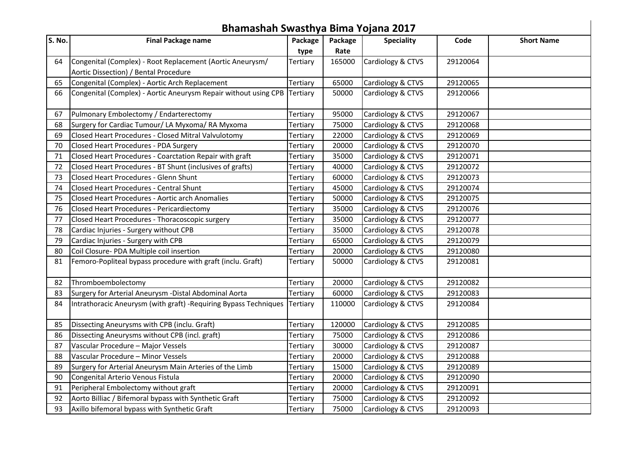|        | Bhamashah Swasthya Bima Yojana 2017                                      |          |         |                   |          |                   |  |  |  |  |
|--------|--------------------------------------------------------------------------|----------|---------|-------------------|----------|-------------------|--|--|--|--|
| S. No. | <b>Final Package name</b>                                                | Package  | Package | <b>Speciality</b> | Code     | <b>Short Name</b> |  |  |  |  |
|        |                                                                          | type     | Rate    |                   |          |                   |  |  |  |  |
| 64     | Congenital (Complex) - Root Replacement (Aortic Aneurysm/                | Tertiary | 165000  | Cardiology & CTVS | 29120064 |                   |  |  |  |  |
|        | Aortic Dissection) / Bental Procedure                                    |          |         |                   |          |                   |  |  |  |  |
| 65     | Congenital (Complex) - Aortic Arch Replacement                           | Tertiary | 65000   | Cardiology & CTVS | 29120065 |                   |  |  |  |  |
| 66     | Congenital (Complex) - Aortic Aneurysm Repair without using CPB Tertiary |          | 50000   | Cardiology & CTVS | 29120066 |                   |  |  |  |  |
| 67     | Pulmonary Embolectomy / Endarterectomy                                   | Tertiary | 95000   | Cardiology & CTVS | 29120067 |                   |  |  |  |  |
| 68     | Surgery for Cardiac Tumour/ LA Myxoma/ RA Myxoma                         | Tertiary | 75000   | Cardiology & CTVS | 29120068 |                   |  |  |  |  |
| 69     | Closed Heart Procedures - Closed Mitral Valvulotomy                      | Tertiary | 22000   | Cardiology & CTVS | 29120069 |                   |  |  |  |  |
| 70     | Closed Heart Procedures - PDA Surgery                                    | Tertiary | 20000   | Cardiology & CTVS | 29120070 |                   |  |  |  |  |
| 71     | Closed Heart Procedures - Coarctation Repair with graft                  | Tertiary | 35000   | Cardiology & CTVS | 29120071 |                   |  |  |  |  |
| 72     | Closed Heart Procedures - BT Shunt (inclusives of grafts)                | Tertiary | 40000   | Cardiology & CTVS | 29120072 |                   |  |  |  |  |
| 73     | Closed Heart Procedures - Glenn Shunt                                    | Tertiary | 60000   | Cardiology & CTVS | 29120073 |                   |  |  |  |  |
| 74     | Closed Heart Procedures - Central Shunt                                  | Tertiary | 45000   | Cardiology & CTVS | 29120074 |                   |  |  |  |  |
| 75     | Closed Heart Procedures - Aortic arch Anomalies                          | Tertiary | 50000   | Cardiology & CTVS | 29120075 |                   |  |  |  |  |
| 76     | Closed Heart Procedures - Pericardiectomy                                | Tertiary | 35000   | Cardiology & CTVS | 29120076 |                   |  |  |  |  |
| 77     | Closed Heart Procedures - Thoracoscopic surgery                          | Tertiary | 35000   | Cardiology & CTVS | 29120077 |                   |  |  |  |  |
| 78     | Cardiac Injuries - Surgery without CPB                                   | Tertiary | 35000   | Cardiology & CTVS | 29120078 |                   |  |  |  |  |
| 79     | Cardiac Injuries - Surgery with CPB                                      | Tertiary | 65000   | Cardiology & CTVS | 29120079 |                   |  |  |  |  |
| 80     | Coil Closure- PDA Multiple coil insertion                                | Tertiary | 20000   | Cardiology & CTVS | 29120080 |                   |  |  |  |  |
| 81     | Femoro-Popliteal bypass procedure with graft (inclu. Graft)              | Tertiary | 50000   | Cardiology & CTVS | 29120081 |                   |  |  |  |  |
| 82     | Thromboembolectomy                                                       | Tertiary | 20000   | Cardiology & CTVS | 29120082 |                   |  |  |  |  |
| 83     | Surgery for Arterial Aneurysm -Distal Abdominal Aorta                    | Tertiary | 60000   | Cardiology & CTVS | 29120083 |                   |  |  |  |  |
| 84     | Intrathoracic Aneurysm (with graft) - Requiring Bypass Techniques        | Tertiary | 110000  | Cardiology & CTVS | 29120084 |                   |  |  |  |  |
| 85     | Dissecting Aneurysms with CPB (inclu. Graft)                             | Tertiary | 120000  | Cardiology & CTVS | 29120085 |                   |  |  |  |  |
| 86     | Dissecting Aneurysms without CPB (incl. graft)                           | Tertiary | 75000   | Cardiology & CTVS | 29120086 |                   |  |  |  |  |
| 87     | Vascular Procedure - Major Vessels                                       | Tertiary | 30000   | Cardiology & CTVS | 29120087 |                   |  |  |  |  |
| 88     | Vascular Procedure - Minor Vessels                                       | Tertiary | 20000   | Cardiology & CTVS | 29120088 |                   |  |  |  |  |
| 89     | Surgery for Arterial Aneurysm Main Arteries of the Limb                  | Tertiary | 15000   | Cardiology & CTVS | 29120089 |                   |  |  |  |  |
| 90     | Congenital Arterio Venous Fistula                                        | Tertiary | 20000   | Cardiology & CTVS | 29120090 |                   |  |  |  |  |
| 91     | Peripheral Embolectomy without graft                                     | Tertiary | 20000   | Cardiology & CTVS | 29120091 |                   |  |  |  |  |
| 92     | Aorto Billiac / Bifemoral bypass with Synthetic Graft                    | Tertiary | 75000   | Cardiology & CTVS | 29120092 |                   |  |  |  |  |
| 93     | Axillo bifemoral bypass with Synthetic Graft                             | Tertiary | 75000   | Cardiology & CTVS | 29120093 |                   |  |  |  |  |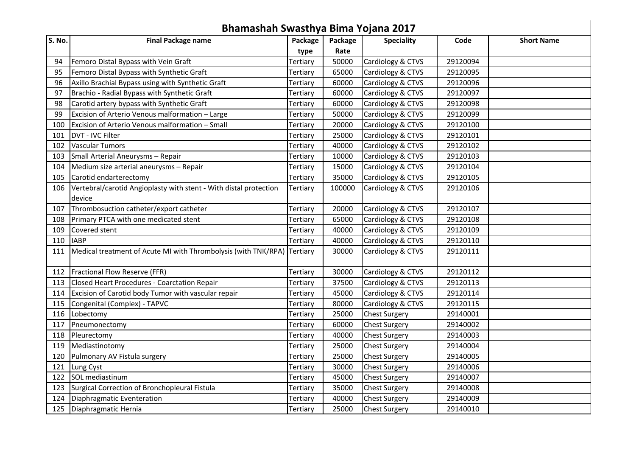|        | Bhamashah Swasthya Bima Yojana 2017                                     |          |         |                      |          |                   |  |  |  |  |
|--------|-------------------------------------------------------------------------|----------|---------|----------------------|----------|-------------------|--|--|--|--|
| S. No. | <b>Final Package name</b>                                               | Package  | Package | <b>Speciality</b>    | Code     | <b>Short Name</b> |  |  |  |  |
|        |                                                                         | type     | Rate    |                      |          |                   |  |  |  |  |
| 94     | Femoro Distal Bypass with Vein Graft                                    | Tertiary | 50000   | Cardiology & CTVS    | 29120094 |                   |  |  |  |  |
| 95     | Femoro Distal Bypass with Synthetic Graft                               | Tertiary | 65000   | Cardiology & CTVS    | 29120095 |                   |  |  |  |  |
| 96     | Axillo Brachial Bypass using with Synthetic Graft                       | Tertiary | 60000   | Cardiology & CTVS    | 29120096 |                   |  |  |  |  |
| 97     | Brachio - Radial Bypass with Synthetic Graft                            | Tertiary | 60000   | Cardiology & CTVS    | 29120097 |                   |  |  |  |  |
| 98     | Carotid artery bypass with Synthetic Graft                              | Tertiary | 60000   | Cardiology & CTVS    | 29120098 |                   |  |  |  |  |
| 99     | Excision of Arterio Venous malformation - Large                         | Tertiary | 50000   | Cardiology & CTVS    | 29120099 |                   |  |  |  |  |
| 100    | Excision of Arterio Venous malformation - Small                         | Tertiary | 20000   | Cardiology & CTVS    | 29120100 |                   |  |  |  |  |
| 101    | DVT - IVC Filter                                                        | Tertiary | 25000   | Cardiology & CTVS    | 29120101 |                   |  |  |  |  |
| 102    | <b>Vascular Tumors</b>                                                  | Tertiary | 40000   | Cardiology & CTVS    | 29120102 |                   |  |  |  |  |
| 103    | Small Arterial Aneurysms - Repair                                       | Tertiary | 10000   | Cardiology & CTVS    | 29120103 |                   |  |  |  |  |
| 104    | Medium size arterial aneurysms - Repair                                 | Tertiary | 15000   | Cardiology & CTVS    | 29120104 |                   |  |  |  |  |
| 105    | Carotid endarterectomy                                                  | Tertiary | 35000   | Cardiology & CTVS    | 29120105 |                   |  |  |  |  |
| 106    | Vertebral/carotid Angioplasty with stent - With distal protection       | Tertiary | 100000  | Cardiology & CTVS    | 29120106 |                   |  |  |  |  |
|        | device                                                                  |          |         |                      |          |                   |  |  |  |  |
| 107    | Thrombosuction catheter/export catheter                                 | Tertiary | 20000   | Cardiology & CTVS    | 29120107 |                   |  |  |  |  |
| 108    | Primary PTCA with one medicated stent                                   | Tertiary | 65000   | Cardiology & CTVS    | 29120108 |                   |  |  |  |  |
| 109    | Covered stent                                                           | Tertiary | 40000   | Cardiology & CTVS    | 29120109 |                   |  |  |  |  |
| 110    | <b>IABP</b>                                                             | Tertiary | 40000   | Cardiology & CTVS    | 29120110 |                   |  |  |  |  |
| 111    | Medical treatment of Acute MI with Thrombolysis (with TNK/RPA) Tertiary |          | 30000   | Cardiology & CTVS    | 29120111 |                   |  |  |  |  |
| 112    | Fractional Flow Reserve (FFR)                                           | Tertiary | 30000   | Cardiology & CTVS    | 29120112 |                   |  |  |  |  |
| 113    | Closed Heart Procedures - Coarctation Repair                            | Tertiary | 37500   | Cardiology & CTVS    | 29120113 |                   |  |  |  |  |
| 114    | Excision of Carotid body Tumor with vascular repair                     | Tertiary | 45000   | Cardiology & CTVS    | 29120114 |                   |  |  |  |  |
| 115    | Congenital (Complex) - TAPVC                                            | Tertiary | 80000   | Cardiology & CTVS    | 29120115 |                   |  |  |  |  |
| 116    | Lobectomy                                                               | Tertiary | 25000   | <b>Chest Surgery</b> | 29140001 |                   |  |  |  |  |
| 117    | Pneumonectomy                                                           | Tertiary | 60000   | <b>Chest Surgery</b> | 29140002 |                   |  |  |  |  |
| 118    | Pleurectomy                                                             | Tertiary | 40000   | <b>Chest Surgery</b> | 29140003 |                   |  |  |  |  |
| 119    | Mediastinotomy                                                          | Tertiary | 25000   | <b>Chest Surgery</b> | 29140004 |                   |  |  |  |  |
| 120    | Pulmonary AV Fistula surgery                                            | Tertiary | 25000   | <b>Chest Surgery</b> | 29140005 |                   |  |  |  |  |
| 121    | Lung Cyst                                                               | Tertiary | 30000   | <b>Chest Surgery</b> | 29140006 |                   |  |  |  |  |
| 122    | SOL mediastinum                                                         | Tertiary | 45000   | <b>Chest Surgery</b> | 29140007 |                   |  |  |  |  |
| 123    | Surgical Correction of Bronchopleural Fistula                           | Tertiary | 35000   | <b>Chest Surgery</b> | 29140008 |                   |  |  |  |  |
| 124    | Diaphragmatic Eventeration                                              | Tertiary | 40000   | <b>Chest Surgery</b> | 29140009 |                   |  |  |  |  |
| 125    | Diaphragmatic Hernia                                                    | Tertiary | 25000   | <b>Chest Surgery</b> | 29140010 |                   |  |  |  |  |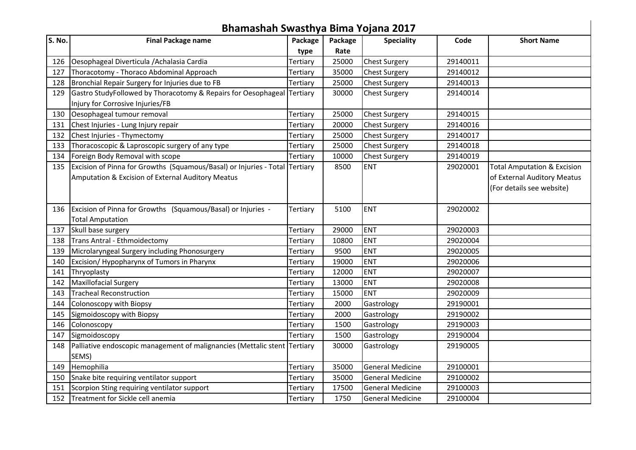| Bhamashah Swasthya Bima Yojana 2017 |                                                                                                                                  |          |         |                         |          |                                                                                                    |  |  |  |
|-------------------------------------|----------------------------------------------------------------------------------------------------------------------------------|----------|---------|-------------------------|----------|----------------------------------------------------------------------------------------------------|--|--|--|
| S. No.                              | <b>Final Package name</b>                                                                                                        | Package  | Package | <b>Speciality</b>       | Code     | <b>Short Name</b>                                                                                  |  |  |  |
|                                     |                                                                                                                                  | type     | Rate    |                         |          |                                                                                                    |  |  |  |
| 126                                 | Oesophageal Diverticula / Achalasia Cardia                                                                                       | Tertiary | 25000   | <b>Chest Surgery</b>    | 29140011 |                                                                                                    |  |  |  |
| 127                                 | Thoracotomy - Thoraco Abdominal Approach                                                                                         | Tertiary | 35000   | <b>Chest Surgery</b>    | 29140012 |                                                                                                    |  |  |  |
| 128                                 | Bronchial Repair Surgery for Injuries due to FB                                                                                  | Tertiary | 25000   | <b>Chest Surgery</b>    | 29140013 |                                                                                                    |  |  |  |
| 129                                 | Gastro StudyFollowed by Thoracotomy & Repairs for Oesophageal Tertiary<br>Injury for Corrosive Injuries/FB                       |          | 30000   | <b>Chest Surgery</b>    | 29140014 |                                                                                                    |  |  |  |
| 130                                 | Oesophageal tumour removal                                                                                                       | Tertiary | 25000   | <b>Chest Surgery</b>    | 29140015 |                                                                                                    |  |  |  |
| 131                                 | Chest Injuries - Lung Injury repair                                                                                              | Tertiary | 20000   | <b>Chest Surgery</b>    | 29140016 |                                                                                                    |  |  |  |
| 132                                 | Chest Injuries - Thymectomy                                                                                                      | Tertiary | 25000   | <b>Chest Surgery</b>    | 29140017 |                                                                                                    |  |  |  |
| 133                                 | Thoracoscopic & Laproscopic surgery of any type                                                                                  | Tertiary | 25000   | <b>Chest Surgery</b>    | 29140018 |                                                                                                    |  |  |  |
| 134                                 | Foreign Body Removal with scope                                                                                                  | Tertiary | 10000   | <b>Chest Surgery</b>    | 29140019 |                                                                                                    |  |  |  |
| 135                                 | Excision of Pinna for Growths (Squamous/Basal) or Injuries - Total Tertiary<br>Amputation & Excision of External Auditory Meatus |          | 8500    | <b>ENT</b>              | 29020001 | <b>Total Amputation &amp; Excision</b><br>of External Auditory Meatus<br>(For details see website) |  |  |  |
| 136                                 | Excision of Pinna for Growths (Squamous/Basal) or Injuries -<br><b>Total Amputation</b>                                          | Tertiary | 5100    | <b>ENT</b>              | 29020002 |                                                                                                    |  |  |  |
| 137                                 | Skull base surgery                                                                                                               | Tertiary | 29000   | <b>ENT</b>              | 29020003 |                                                                                                    |  |  |  |
| 138                                 | Trans Antral - Ethmoidectomy                                                                                                     | Tertiary | 10800   | <b>ENT</b>              | 29020004 |                                                                                                    |  |  |  |
| 139                                 | Microlaryngeal Surgery including Phonosurgery                                                                                    | Tertiary | 9500    | <b>ENT</b>              | 29020005 |                                                                                                    |  |  |  |
| 140                                 | Excision/Hypopharynx of Tumors in Pharynx                                                                                        | Tertiary | 19000   | <b>ENT</b>              | 29020006 |                                                                                                    |  |  |  |
| 141                                 | Thryoplasty                                                                                                                      | Tertiary | 12000   | <b>ENT</b>              | 29020007 |                                                                                                    |  |  |  |
| 142                                 | Maxillofacial Surgery                                                                                                            | Tertiary | 13000   | <b>ENT</b>              | 29020008 |                                                                                                    |  |  |  |
| 143                                 | <b>Tracheal Reconstruction</b>                                                                                                   | Tertiary | 15000   | <b>ENT</b>              | 29020009 |                                                                                                    |  |  |  |
| 144                                 | Colonoscopy with Biopsy                                                                                                          | Tertiary | 2000    | Gastrology              | 29190001 |                                                                                                    |  |  |  |
| 145                                 | Sigmoidoscopy with Biopsy                                                                                                        | Tertiary | 2000    | Gastrology              | 29190002 |                                                                                                    |  |  |  |
| 146                                 | Colonoscopy                                                                                                                      | Tertiary | 1500    | Gastrology              | 29190003 |                                                                                                    |  |  |  |
| 147                                 | Sigmoidoscopy                                                                                                                    | Tertiary | 1500    | Gastrology              | 29190004 |                                                                                                    |  |  |  |
| 148                                 | Palliative endoscopic management of malignancies (Mettalic stent Tertiary<br>SEMS)                                               |          | 30000   | Gastrology              | 29190005 |                                                                                                    |  |  |  |
| 149                                 | Hemophilia                                                                                                                       | Tertiary | 35000   | <b>General Medicine</b> | 29100001 |                                                                                                    |  |  |  |
| 150                                 | Snake bite requiring ventilator support                                                                                          | Tertiary | 35000   | <b>General Medicine</b> | 29100002 |                                                                                                    |  |  |  |
| 151                                 | Scorpion Sting requiring ventilator support                                                                                      | Tertiary | 17500   | <b>General Medicine</b> | 29100003 |                                                                                                    |  |  |  |
| 152                                 | Treatment for Sickle cell anemia                                                                                                 | Tertiary | 1750    | <b>General Medicine</b> | 29100004 |                                                                                                    |  |  |  |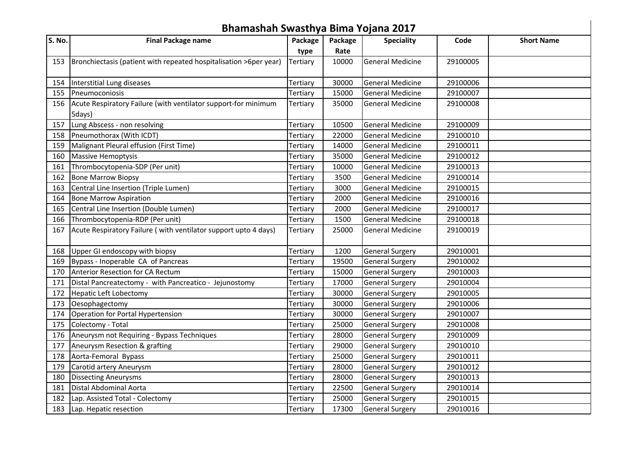|        | Bhamashah Swasthya Bima Yojana 2017                                      |          |         |                         |          |                   |  |  |  |  |
|--------|--------------------------------------------------------------------------|----------|---------|-------------------------|----------|-------------------|--|--|--|--|
| S. No. | <b>Final Package name</b>                                                | Package  | Package | <b>Speciality</b>       | Code     | <b>Short Name</b> |  |  |  |  |
|        |                                                                          | type     | Rate    |                         |          |                   |  |  |  |  |
| 153    | Bronchiectasis (patient with repeated hospitalisation >6per year)        | Tertiary | 10000   | <b>General Medicine</b> | 29100005 |                   |  |  |  |  |
|        | 154   Interstitial Lung diseases                                         | Tertiary | 30000   | <b>General Medicine</b> | 29100006 |                   |  |  |  |  |
| 155    | Pneumoconiosis                                                           | Tertiary | 15000   | <b>General Medicine</b> | 29100007 |                   |  |  |  |  |
| 156    | Acute Respiratory Failure (with ventilator support-for minimum<br>5days) | Tertiary | 35000   | <b>General Medicine</b> | 29100008 |                   |  |  |  |  |
| 157    | Lung Abscess - non resolving                                             | Tertiary | 10500   | <b>General Medicine</b> | 29100009 |                   |  |  |  |  |
| 158    | Pneumothorax (With ICDT)                                                 | Tertiary | 22000   | <b>General Medicine</b> | 29100010 |                   |  |  |  |  |
| 159    | Malignant Pleural effusion (First Time)                                  | Tertiary | 14000   | <b>General Medicine</b> | 29100011 |                   |  |  |  |  |
| 160    | <b>Massive Hemoptysis</b>                                                | Tertiary | 35000   | <b>General Medicine</b> | 29100012 |                   |  |  |  |  |
| 161    | Thrombocytopenia-SDP (Per unit)                                          | Tertiary | 10000   | <b>General Medicine</b> | 29100013 |                   |  |  |  |  |
| 162    | <b>Bone Marrow Biopsy</b>                                                | Tertiary | 3500    | <b>General Medicine</b> | 29100014 |                   |  |  |  |  |
| 163    | Central Line Insertion (Triple Lumen)                                    | Tertiary | 3000    | <b>General Medicine</b> | 29100015 |                   |  |  |  |  |
| 164    | <b>Bone Marrow Aspiration</b>                                            | Tertiary | 2000    | <b>General Medicine</b> | 29100016 |                   |  |  |  |  |
| 165    | Central Line Insertion (Double Lumen)                                    | Tertiary | 2000    | <b>General Medicine</b> | 29100017 |                   |  |  |  |  |
| 166    | Thrombocytopenia-RDP (Per unit)                                          | Tertiary | 1500    | <b>General Medicine</b> | 29100018 |                   |  |  |  |  |
| 167    | Acute Respiratory Failure (with ventilator support upto 4 days)          | Tertiary | 25000   | <b>General Medicine</b> | 29100019 |                   |  |  |  |  |
| 168    | Upper GI endoscopy with biopsy                                           | Tertiary | 1200    | <b>General Surgery</b>  | 29010001 |                   |  |  |  |  |
| 169    | Bypass - Inoperable CA of Pancreas                                       | Tertiary | 19500   | <b>General Surgery</b>  | 29010002 |                   |  |  |  |  |
| 170    | Anterior Resection for CA Rectum                                         | Tertiary | 15000   | <b>General Surgery</b>  | 29010003 |                   |  |  |  |  |
| 171    | Distal Pancreatectomy - with Pancreatico - Jejunostomy                   | Tertiary | 17000   | <b>General Surgery</b>  | 29010004 |                   |  |  |  |  |
| 172    | Hepatic Left Lobectomy                                                   | Tertiary | 30000   | <b>General Surgery</b>  | 29010005 |                   |  |  |  |  |
| 173    | Oesophagectomy                                                           | Tertiary | 30000   | <b>General Surgery</b>  | 29010006 |                   |  |  |  |  |
| 174    | Operation for Portal Hypertension                                        | Tertiary | 30000   | <b>General Surgery</b>  | 29010007 |                   |  |  |  |  |
| 175    | Colectomy - Total                                                        | Tertiary | 25000   | <b>General Surgery</b>  | 29010008 |                   |  |  |  |  |
| 176    | Aneurysm not Requiring - Bypass Techniques                               | Tertiary | 28000   | <b>General Surgery</b>  | 29010009 |                   |  |  |  |  |
| 177    | Aneurysm Resection & grafting                                            | Tertiary | 29000   | <b>General Surgery</b>  | 29010010 |                   |  |  |  |  |
| 178    | Aorta-Femoral Bypass                                                     | Tertiary | 25000   | <b>General Surgery</b>  | 29010011 |                   |  |  |  |  |
| 179    | Carotid artery Aneurysm                                                  | Tertiary | 28000   | <b>General Surgery</b>  | 29010012 |                   |  |  |  |  |
| 180    | <b>Dissecting Aneurysms</b>                                              | Tertiary | 28000   | <b>General Surgery</b>  | 29010013 |                   |  |  |  |  |
| 181    | Distal Abdominal Aorta                                                   | Tertiary | 22500   | <b>General Surgery</b>  | 29010014 |                   |  |  |  |  |
| 182    | Lap. Assisted Total - Colectomy                                          | Tertiary | 25000   | <b>General Surgery</b>  | 29010015 |                   |  |  |  |  |
| 183    | Lap. Hepatic resection                                                   | Tertiary | 17300   | <b>General Surgery</b>  | 29010016 |                   |  |  |  |  |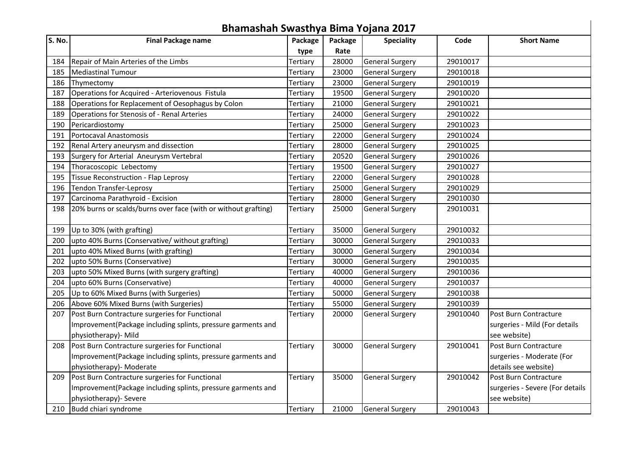|        | Bhamashah Swasthya Bima Yojana 2017                            |          |         |                        |          |                                 |  |  |  |  |
|--------|----------------------------------------------------------------|----------|---------|------------------------|----------|---------------------------------|--|--|--|--|
| S. No. | <b>Final Package name</b>                                      | Package  | Package | <b>Speciality</b>      | Code     | <b>Short Name</b>               |  |  |  |  |
|        |                                                                | type     | Rate    |                        |          |                                 |  |  |  |  |
| 184    | Repair of Main Arteries of the Limbs                           | Tertiary | 28000   | <b>General Surgery</b> | 29010017 |                                 |  |  |  |  |
| 185    | Mediastinal Tumour                                             | Tertiary | 23000   | <b>General Surgery</b> | 29010018 |                                 |  |  |  |  |
| 186    | Thymectomy                                                     | Tertiary | 23000   | <b>General Surgery</b> | 29010019 |                                 |  |  |  |  |
| 187    | Operations for Acquired - Arteriovenous Fistula                | Tertiary | 19500   | <b>General Surgery</b> | 29010020 |                                 |  |  |  |  |
| 188    | Operations for Replacement of Oesophagus by Colon              | Tertiary | 21000   | <b>General Surgery</b> | 29010021 |                                 |  |  |  |  |
| 189    | Operations for Stenosis of - Renal Arteries                    | Tertiary | 24000   | <b>General Surgery</b> | 29010022 |                                 |  |  |  |  |
| 190    | Pericardiostomy                                                | Tertiary | 25000   | <b>General Surgery</b> | 29010023 |                                 |  |  |  |  |
| 191    | Portocaval Anastomosis                                         | Tertiary | 22000   | <b>General Surgery</b> | 29010024 |                                 |  |  |  |  |
| 192    | Renal Artery aneurysm and dissection                           | Tertiary | 28000   | <b>General Surgery</b> | 29010025 |                                 |  |  |  |  |
| 193    | Surgery for Arterial Aneurysm Vertebral                        | Tertiary | 20520   | <b>General Surgery</b> | 29010026 |                                 |  |  |  |  |
| 194    | Thoracoscopic Lebectomy                                        | Tertiary | 19500   | <b>General Surgery</b> | 29010027 |                                 |  |  |  |  |
| 195    | Tissue Reconstruction - Flap Leprosy                           | Tertiary | 22000   | <b>General Surgery</b> | 29010028 |                                 |  |  |  |  |
| 196    | <b>Tendon Transfer-Leprosy</b>                                 | Tertiary | 25000   | <b>General Surgery</b> | 29010029 |                                 |  |  |  |  |
| 197    | Carcinoma Parathyroid - Excision                               | Tertiary | 28000   | <b>General Surgery</b> | 29010030 |                                 |  |  |  |  |
| 198    | 20% burns or scalds/burns over face (with or without grafting) | Tertiary | 25000   | <b>General Surgery</b> | 29010031 |                                 |  |  |  |  |
| 199    | Up to 30% (with grafting)                                      | Tertiary | 35000   | <b>General Surgery</b> | 29010032 |                                 |  |  |  |  |
| 200    | upto 40% Burns (Conservative/ without grafting)                | Tertiary | 30000   | <b>General Surgery</b> | 29010033 |                                 |  |  |  |  |
| 201    | upto 40% Mixed Burns (with grafting)                           | Tertiary | 30000   | <b>General Surgery</b> | 29010034 |                                 |  |  |  |  |
| 202    | upto 50% Burns (Conservative)                                  | Tertiary | 30000   | <b>General Surgery</b> | 29010035 |                                 |  |  |  |  |
| 203    | upto 50% Mixed Burns (with surgery grafting)                   | Tertiary | 40000   | <b>General Surgery</b> | 29010036 |                                 |  |  |  |  |
| 204    | upto 60% Burns (Conservative)                                  | Tertiary | 40000   | <b>General Surgery</b> | 29010037 |                                 |  |  |  |  |
| 205    | Up to 60% Mixed Burns (with Surgeries)                         | Tertiary | 50000   | <b>General Surgery</b> | 29010038 |                                 |  |  |  |  |
| 206    | Above 60% Mixed Burns (with Surgeries)                         | Tertiary | 55000   | <b>General Surgery</b> | 29010039 |                                 |  |  |  |  |
| 207    | Post Burn Contracture surgeries for Functional                 | Tertiary | 20000   | <b>General Surgery</b> | 29010040 | Post Burn Contracture           |  |  |  |  |
|        | Improvement(Package including splints, pressure garments and   |          |         |                        |          | surgeries - Mild (For details   |  |  |  |  |
|        | physiotherapy)- Mild                                           |          |         |                        |          | see website)                    |  |  |  |  |
| 208    | Post Burn Contracture surgeries for Functional                 | Tertiary | 30000   | <b>General Surgery</b> | 29010041 | Post Burn Contracture           |  |  |  |  |
|        | Improvement(Package including splints, pressure garments and   |          |         |                        |          | surgeries - Moderate (For       |  |  |  |  |
|        | physiotherapy)- Moderate                                       |          |         |                        |          | details see website)            |  |  |  |  |
| 209    | Post Burn Contracture surgeries for Functional                 | Tertiary | 35000   | <b>General Surgery</b> | 29010042 | Post Burn Contracture           |  |  |  |  |
|        | Improvement(Package including splints, pressure garments and   |          |         |                        |          | surgeries - Severe (For details |  |  |  |  |
|        | physiotherapy)- Severe                                         |          |         |                        |          | see website)                    |  |  |  |  |
| 210    | Budd chiari syndrome                                           | Tertiary | 21000   | <b>General Surgery</b> | 29010043 |                                 |  |  |  |  |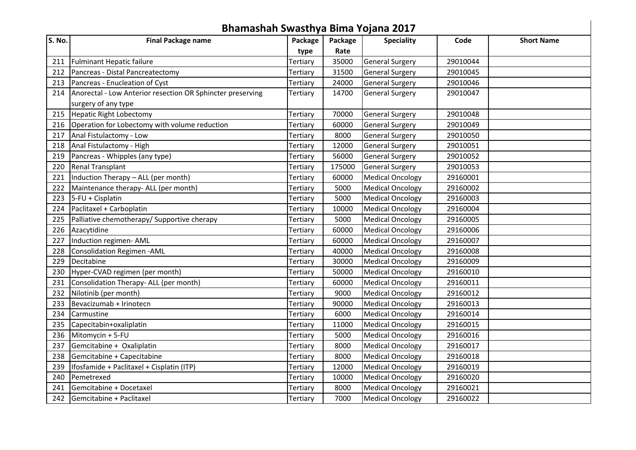|        | Bhamashah Swasthya Bima Yojana 2017                        |          |         |                         |          |                   |  |  |  |  |
|--------|------------------------------------------------------------|----------|---------|-------------------------|----------|-------------------|--|--|--|--|
| S. No. | <b>Final Package name</b>                                  | Package  | Package | <b>Speciality</b>       | Code     | <b>Short Name</b> |  |  |  |  |
|        |                                                            | type     | Rate    |                         |          |                   |  |  |  |  |
| 211    | <b>Fulminant Hepatic failure</b>                           | Tertiary | 35000   | <b>General Surgery</b>  | 29010044 |                   |  |  |  |  |
| 212    | Pancreas - Distal Pancreatectomy                           | Tertiary | 31500   | <b>General Surgery</b>  | 29010045 |                   |  |  |  |  |
| 213    | Pancreas - Enucleation of Cyst                             | Tertiary | 24000   | <b>General Surgery</b>  | 29010046 |                   |  |  |  |  |
| 214    | Anorectal - Low Anterior resection OR Sphincter preserving | Tertiary | 14700   | <b>General Surgery</b>  | 29010047 |                   |  |  |  |  |
|        | surgery of any type                                        |          |         |                         |          |                   |  |  |  |  |
| 215    | Hepatic Right Lobectomy                                    | Tertiary | 70000   | <b>General Surgery</b>  | 29010048 |                   |  |  |  |  |
| 216    | Operation for Lobectomy with volume reduction              | Tertiary | 60000   | <b>General Surgery</b>  | 29010049 |                   |  |  |  |  |
| 217    | Anal Fistulactomy - Low                                    | Tertiary | 8000    | <b>General Surgery</b>  | 29010050 |                   |  |  |  |  |
| 218    | Anal Fistulactomy - High                                   | Tertiary | 12000   | <b>General Surgery</b>  | 29010051 |                   |  |  |  |  |
| 219    | Pancreas - Whipples (any type)                             | Tertiary | 56000   | <b>General Surgery</b>  | 29010052 |                   |  |  |  |  |
| 220    | <b>Renal Transplant</b>                                    | Tertiary | 175000  | <b>General Surgery</b>  | 29010053 |                   |  |  |  |  |
| 221    | Induction Therapy - ALL (per month)                        | Tertiary | 60000   | <b>Medical Oncology</b> | 29160001 |                   |  |  |  |  |
| 222    | Maintenance therapy- ALL (per month)                       | Tertiary | 5000    | <b>Medical Oncology</b> | 29160002 |                   |  |  |  |  |
| 223    | $5$ -FU + Cisplatin                                        | Tertiary | 5000    | <b>Medical Oncology</b> | 29160003 |                   |  |  |  |  |
| 224    | Paclitaxel + Carboplatin                                   | Tertiary | 10000   | <b>Medical Oncology</b> | 29160004 |                   |  |  |  |  |
| 225    | Palliative chemotherapy/ Supportive cherapy                | Tertiary | 5000    | <b>Medical Oncology</b> | 29160005 |                   |  |  |  |  |
| 226    | Azacytidine                                                | Tertiary | 60000   | <b>Medical Oncology</b> | 29160006 |                   |  |  |  |  |
| 227    | Induction regimen- AML                                     | Tertiary | 60000   | <b>Medical Oncology</b> | 29160007 |                   |  |  |  |  |
| 228    | Consolidation Regimen - AML                                | Tertiary | 40000   | <b>Medical Oncology</b> | 29160008 |                   |  |  |  |  |
| 229    | Decitabine                                                 | Tertiary | 30000   | <b>Medical Oncology</b> | 29160009 |                   |  |  |  |  |
| 230    | Hyper-CVAD regimen (per month)                             | Tertiary | 50000   | <b>Medical Oncology</b> | 29160010 |                   |  |  |  |  |
| 231    | Consolidation Therapy- ALL (per month)                     | Tertiary | 60000   | <b>Medical Oncology</b> | 29160011 |                   |  |  |  |  |
| 232    | Nilotinib (per month)                                      | Tertiary | 9000    | <b>Medical Oncology</b> | 29160012 |                   |  |  |  |  |
| 233    | Bevacizumab + Irinotecn                                    | Tertiary | 90000   | <b>Medical Oncology</b> | 29160013 |                   |  |  |  |  |
| 234    | Carmustine                                                 | Tertiary | 6000    | <b>Medical Oncology</b> | 29160014 |                   |  |  |  |  |
| 235    | Capecitabin+oxaliplatin                                    | Tertiary | 11000   | <b>Medical Oncology</b> | 29160015 |                   |  |  |  |  |
| 236    | Mitomycin + 5-FU                                           | Tertiary | 5000    | <b>Medical Oncology</b> | 29160016 |                   |  |  |  |  |
| 237    | Gemcitabine + Oxaliplatin                                  | Tertiary | 8000    | <b>Medical Oncology</b> | 29160017 |                   |  |  |  |  |
| 238    | Gemcitabine + Capecitabine                                 | Tertiary | 8000    | <b>Medical Oncology</b> | 29160018 |                   |  |  |  |  |
| 239    | Ifosfamide + Paclitaxel + Cisplatin (ITP)                  | Tertiary | 12000   | <b>Medical Oncology</b> | 29160019 |                   |  |  |  |  |
| 240    | Pemetrexed                                                 | Tertiary | 10000   | <b>Medical Oncology</b> | 29160020 |                   |  |  |  |  |
| 241    | Gemcitabine + Docetaxel                                    | Tertiary | 8000    | <b>Medical Oncology</b> | 29160021 |                   |  |  |  |  |
| 242    | Gemcitabine + Paclitaxel                                   | Tertiary | 7000    | <b>Medical Oncology</b> | 29160022 |                   |  |  |  |  |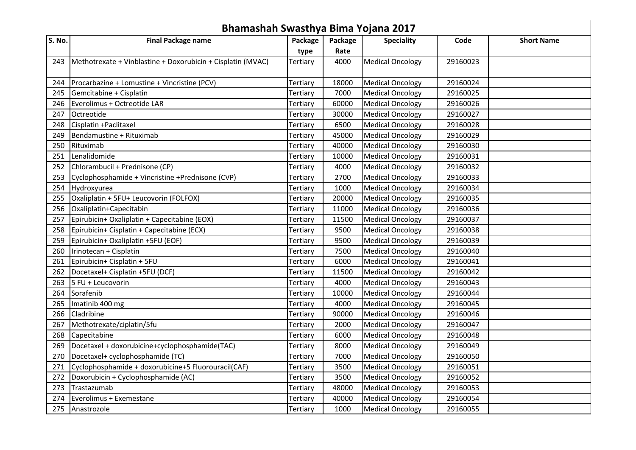|        | Bhamashah Swasthya Bima Yojana 2017                         |          |         |                         |          |                   |  |  |  |  |
|--------|-------------------------------------------------------------|----------|---------|-------------------------|----------|-------------------|--|--|--|--|
| S. No. | <b>Final Package name</b>                                   | Package  | Package | <b>Speciality</b>       | Code     | <b>Short Name</b> |  |  |  |  |
|        |                                                             | type     | Rate    |                         |          |                   |  |  |  |  |
| 243    | Methotrexate + Vinblastine + Doxorubicin + Cisplatin (MVAC) | Tertiary | 4000    | <b>Medical Oncology</b> | 29160023 |                   |  |  |  |  |
| 244    | Procarbazine + Lomustine + Vincristine (PCV)                | Tertiary | 18000   | <b>Medical Oncology</b> | 29160024 |                   |  |  |  |  |
| 245    | Gemcitabine + Cisplatin                                     | Tertiary | 7000    | <b>Medical Oncology</b> | 29160025 |                   |  |  |  |  |
| 246    | Everolimus + Octreotide LAR                                 | Tertiary | 60000   | <b>Medical Oncology</b> | 29160026 |                   |  |  |  |  |
| 247    | <b>Octreotide</b>                                           | Tertiary | 30000   | <b>Medical Oncology</b> | 29160027 |                   |  |  |  |  |
| 248    | Cisplatin +Paclitaxel                                       | Tertiary | 6500    | <b>Medical Oncology</b> | 29160028 |                   |  |  |  |  |
| 249    | Bendamustine + Rituximab                                    | Tertiary | 45000   | <b>Medical Oncology</b> | 29160029 |                   |  |  |  |  |
| 250    | Rituximab                                                   | Tertiary | 40000   | <b>Medical Oncology</b> | 29160030 |                   |  |  |  |  |
| 251    | Lenalidomide                                                | Tertiary | 10000   | <b>Medical Oncology</b> | 29160031 |                   |  |  |  |  |
| 252    | Chlorambucil + Prednisone (CP)                              | Tertiary | 4000    | <b>Medical Oncology</b> | 29160032 |                   |  |  |  |  |
| 253    | Cyclophosphamide + Vincristine +Prednisone (CVP)            | Tertiary | 2700    | <b>Medical Oncology</b> | 29160033 |                   |  |  |  |  |
|        | 254 Hydroxyurea                                             | Tertiary | 1000    | <b>Medical Oncology</b> | 29160034 |                   |  |  |  |  |
| 255    | Oxaliplatin + 5FU+ Leucovorin (FOLFOX)                      | Tertiary | 20000   | <b>Medical Oncology</b> | 29160035 |                   |  |  |  |  |
| 256    | Oxaliplatin+Capecitabin                                     | Tertiary | 11000   | <b>Medical Oncology</b> | 29160036 |                   |  |  |  |  |
| 257    | Epirubicin+ Oxaliplatin + Capecitabine (EOX)                | Tertiary | 11500   | <b>Medical Oncology</b> | 29160037 |                   |  |  |  |  |
| 258    | Epirubicin+ Cisplatin + Capecitabine (ECX)                  | Tertiary | 9500    | <b>Medical Oncology</b> | 29160038 |                   |  |  |  |  |
| 259    | Epirubicin+ Oxaliplatin +5FU (EOF)                          | Tertiary | 9500    | <b>Medical Oncology</b> | 29160039 |                   |  |  |  |  |
| 260    | Irinotecan + Cisplatin                                      | Tertiary | 7500    | <b>Medical Oncology</b> | 29160040 |                   |  |  |  |  |
| 261    | Epirubicin+ Cisplatin + 5FU                                 | Tertiary | 6000    | <b>Medical Oncology</b> | 29160041 |                   |  |  |  |  |
| 262    | Docetaxel+ Cisplatin +5FU (DCF)                             | Tertiary | 11500   | <b>Medical Oncology</b> | 29160042 |                   |  |  |  |  |
| 263    | 5 FU + Leucovorin                                           | Tertiary | 4000    | <b>Medical Oncology</b> | 29160043 |                   |  |  |  |  |
| 264    | Sorafenib                                                   | Tertiary | 10000   | <b>Medical Oncology</b> | 29160044 |                   |  |  |  |  |
| 265    | Imatinib 400 mg                                             | Tertiary | 4000    | <b>Medical Oncology</b> | 29160045 |                   |  |  |  |  |
| 266    | Cladribine                                                  | Tertiary | 90000   | <b>Medical Oncology</b> | 29160046 |                   |  |  |  |  |
| 267    | Methotrexate/ciplatin/5fu                                   | Tertiary | 2000    | <b>Medical Oncology</b> | 29160047 |                   |  |  |  |  |
| 268    | Capecitabine                                                | Tertiary | 6000    | <b>Medical Oncology</b> | 29160048 |                   |  |  |  |  |
| 269    | Docetaxel + doxorubicine+cyclophosphamide(TAC)              | Tertiary | 8000    | <b>Medical Oncology</b> | 29160049 |                   |  |  |  |  |
| 270    | Docetaxel+ cyclophosphamide (TC)                            | Tertiary | 7000    | <b>Medical Oncology</b> | 29160050 |                   |  |  |  |  |
| 271    | Cyclophosphamide + doxorubicine+5 Fluorouracil(CAF)         | Tertiary | 3500    | <b>Medical Oncology</b> | 29160051 |                   |  |  |  |  |
| 272    | Doxorubicin + Cyclophosphamide (AC)                         | Tertiary | 3500    | <b>Medical Oncology</b> | 29160052 |                   |  |  |  |  |
| 273    | <b>Trastazumab</b>                                          | Tertiary | 48000   | <b>Medical Oncology</b> | 29160053 |                   |  |  |  |  |
| 274    | Everolimus + Exemestane                                     | Tertiary | 40000   | <b>Medical Oncology</b> | 29160054 |                   |  |  |  |  |
| 275    | Anastrozole                                                 | Tertiary | 1000    | <b>Medical Oncology</b> | 29160055 |                   |  |  |  |  |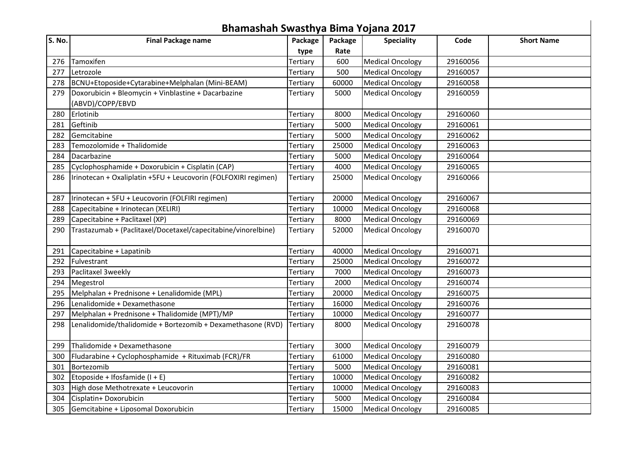|        | Bhamashah Swasthya Bima Yojana 2017                            |          |         |                         |          |                   |  |  |  |  |
|--------|----------------------------------------------------------------|----------|---------|-------------------------|----------|-------------------|--|--|--|--|
| S. No. | <b>Final Package name</b>                                      | Package  | Package | <b>Speciality</b>       | Code     | <b>Short Name</b> |  |  |  |  |
|        |                                                                | type     | Rate    |                         |          |                   |  |  |  |  |
| 276    | Tamoxifen                                                      | Tertiary | 600     | <b>Medical Oncology</b> | 29160056 |                   |  |  |  |  |
| 277    | Letrozole                                                      | Tertiary | 500     | <b>Medical Oncology</b> | 29160057 |                   |  |  |  |  |
| 278    | BCNU+Etoposide+Cytarabine+Melphalan (Mini-BEAM)                | Tertiary | 60000   | <b>Medical Oncology</b> | 29160058 |                   |  |  |  |  |
| 279    | Doxorubicin + Bleomycin + Vinblastine + Dacarbazine            | Tertiary | 5000    | <b>Medical Oncology</b> | 29160059 |                   |  |  |  |  |
|        | (ABVD)/COPP/EBVD                                               |          |         |                         |          |                   |  |  |  |  |
| 280    | Erlotinib                                                      | Tertiary | 8000    | <b>Medical Oncology</b> | 29160060 |                   |  |  |  |  |
| 281    | Geftinib                                                       | Tertiary | 5000    | <b>Medical Oncology</b> | 29160061 |                   |  |  |  |  |
| 282    | Gemcitabine                                                    | Tertiary | 5000    | <b>Medical Oncology</b> | 29160062 |                   |  |  |  |  |
| 283    | Temozolomide + Thalidomide                                     | Tertiary | 25000   | <b>Medical Oncology</b> | 29160063 |                   |  |  |  |  |
| 284    | Dacarbazine                                                    | Tertiary | 5000    | <b>Medical Oncology</b> | 29160064 |                   |  |  |  |  |
| 285    | Cyclophosphamide + Doxorubicin + Cisplatin (CAP)               | Tertiary | 4000    | <b>Medical Oncology</b> | 29160065 |                   |  |  |  |  |
| 286    | Irinotecan + Oxaliplatin +5FU + Leucovorin (FOLFOXIRI regimen) | Tertiary | 25000   | <b>Medical Oncology</b> | 29160066 |                   |  |  |  |  |
|        |                                                                |          |         |                         |          |                   |  |  |  |  |
| 287    | Irinotecan + 5FU + Leucovorin (FOLFIRI regimen)                | Tertiary | 20000   | <b>Medical Oncology</b> | 29160067 |                   |  |  |  |  |
| 288    | Capecitabine + Irinotecan (XELIRI)                             | Tertiary | 10000   | <b>Medical Oncology</b> | 29160068 |                   |  |  |  |  |
| 289    | Capecitabine + Paclitaxel (XP)                                 | Tertiary | 8000    | <b>Medical Oncology</b> | 29160069 |                   |  |  |  |  |
| 290    | Trastazumab + (Paclitaxel/Docetaxel/capecitabine/vinorelbine)  | Tertiary | 52000   | <b>Medical Oncology</b> | 29160070 |                   |  |  |  |  |
|        |                                                                |          |         |                         |          |                   |  |  |  |  |
| 291    | Capecitabine + Lapatinib                                       | Tertiary | 40000   | <b>Medical Oncology</b> | 29160071 |                   |  |  |  |  |
| 292    | <b>IFulvestrant</b>                                            | Tertiary | 25000   | <b>Medical Oncology</b> | 29160072 |                   |  |  |  |  |
| 293    | Paclitaxel 3weekly                                             | Tertiary | 7000    | <b>Medical Oncology</b> | 29160073 |                   |  |  |  |  |
|        | 294 Megestrol                                                  | Tertiary | 2000    | <b>Medical Oncology</b> | 29160074 |                   |  |  |  |  |
|        | 295   Melphalan + Prednisone + Lenalidomide (MPL)              | Tertiary | 20000   | <b>Medical Oncology</b> | 29160075 |                   |  |  |  |  |
|        | 296 Lenalidomide + Dexamethasone                               | Tertiary | 16000   | <b>Medical Oncology</b> | 29160076 |                   |  |  |  |  |
| 297    | Melphalan + Prednisone + Thalidomide (MPT)/MP                  | Tertiary | 10000   | <b>Medical Oncology</b> | 29160077 |                   |  |  |  |  |
| 298    | Lenalidomide/thalidomide + Bortezomib + Dexamethasone (RVD)    | Tertiary | 8000    | <b>Medical Oncology</b> | 29160078 |                   |  |  |  |  |
|        |                                                                |          |         |                         |          |                   |  |  |  |  |
| 299    | Thalidomide + Dexamethasone                                    | Tertiary | 3000    | <b>Medical Oncology</b> | 29160079 |                   |  |  |  |  |
| 300    | Fludarabine + Cyclophosphamide + Rituximab (FCR)/FR            | Tertiary | 61000   | <b>Medical Oncology</b> | 29160080 |                   |  |  |  |  |
| 301    | Bortezomib                                                     | Tertiary | 5000    | <b>Medical Oncology</b> | 29160081 |                   |  |  |  |  |
| 302    | Etoposide + Ifosfamide $(I + E)$                               | Tertiary | 10000   | <b>Medical Oncology</b> | 29160082 |                   |  |  |  |  |
| 303    | High dose Methotrexate + Leucovorin                            | Tertiary | 10000   | <b>Medical Oncology</b> | 29160083 |                   |  |  |  |  |
| 304    | Cisplatin+ Doxorubicin                                         | Tertiary | 5000    | <b>Medical Oncology</b> | 29160084 |                   |  |  |  |  |
| 305    | Gemcitabine + Liposomal Doxorubicin                            | Tertiary | 15000   | <b>Medical Oncology</b> | 29160085 |                   |  |  |  |  |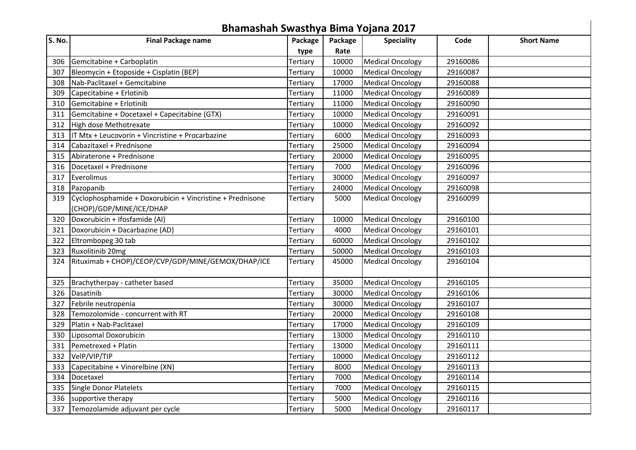| Bhamashah Swasthya Bima Yojana 2017 |                                                           |          |         |                         |          |                   |  |  |  |
|-------------------------------------|-----------------------------------------------------------|----------|---------|-------------------------|----------|-------------------|--|--|--|
| S. No.                              | <b>Final Package name</b>                                 | Package  | Package | <b>Speciality</b>       | Code     | <b>Short Name</b> |  |  |  |
|                                     |                                                           | type     | Rate    |                         |          |                   |  |  |  |
| 306                                 | Gemcitabine + Carboplatin                                 | Tertiary | 10000   | <b>Medical Oncology</b> | 29160086 |                   |  |  |  |
| 307                                 | Bleomycin + Etoposide + Cisplatin (BEP)                   | Tertiary | 10000   | <b>Medical Oncology</b> | 29160087 |                   |  |  |  |
| 308                                 | Nab-Paclitaxel + Gemcitabine                              | Tertiary | 17000   | <b>Medical Oncology</b> | 29160088 |                   |  |  |  |
| 309                                 | Capecitabine + Erlotinib                                  | Tertiary | 11000   | <b>Medical Oncology</b> | 29160089 |                   |  |  |  |
| 310                                 | Gemcitabine + Erlotinib                                   | Tertiary | 11000   | <b>Medical Oncology</b> | 29160090 |                   |  |  |  |
| 311                                 | Gemcitabine + Docetaxel + Capecitabine (GTX)              | Tertiary | 10000   | <b>Medical Oncology</b> | 29160091 |                   |  |  |  |
| 312                                 | High dose Methotrexate                                    | Tertiary | 10000   | <b>Medical Oncology</b> | 29160092 |                   |  |  |  |
| 313                                 | $IT$ Mtx + Leucovorin + Vincristine + Procarbazine        | Tertiary | 6000    | <b>Medical Oncology</b> | 29160093 |                   |  |  |  |
| 314                                 | <b>I</b> Cabazitaxel + Prednisone                         | Tertiary | 25000   | <b>Medical Oncology</b> | 29160094 |                   |  |  |  |
| 315                                 | Abiraterone + Prednisone                                  | Tertiary | 20000   | <b>Medical Oncology</b> | 29160095 |                   |  |  |  |
| 316                                 | Docetaxel + Prednisone                                    | Tertiary | 7000    | <b>Medical Oncology</b> | 29160096 |                   |  |  |  |
| 317                                 | Everolimus                                                | Tertiary | 30000   | <b>Medical Oncology</b> | 29160097 |                   |  |  |  |
| 318                                 | Pazopanib                                                 | Tertiary | 24000   | <b>Medical Oncology</b> | 29160098 |                   |  |  |  |
| 319                                 | Cyclophosphamide + Doxorubicin + Vincristine + Prednisone | Tertiary | 5000    | <b>Medical Oncology</b> | 29160099 |                   |  |  |  |
|                                     | (CHOP)/GDP/MINE/ICE/DHAP                                  |          |         |                         |          |                   |  |  |  |
| 320                                 | Doxorubicin + Ifosfamide (AI)                             | Tertiary | 10000   | <b>Medical Oncology</b> | 29160100 |                   |  |  |  |
| 321                                 | Doxorubicin + Dacarbazine (AD)                            | Tertiary | 4000    | <b>Medical Oncology</b> | 29160101 |                   |  |  |  |
| 322                                 | Eltrombopeg 30 tab                                        | Tertiary | 60000   | <b>Medical Oncology</b> | 29160102 |                   |  |  |  |
| 323                                 | Ruxolitinib 20mg                                          | Tertiary | 50000   | <b>Medical Oncology</b> | 29160103 |                   |  |  |  |
| 324                                 | Rituximab + CHOP)/CEOP/CVP/GDP/MINE/GEMOX/DHAP/ICE        | Tertiary | 45000   | <b>Medical Oncology</b> | 29160104 |                   |  |  |  |
| 325                                 | Brachytherpay - catheter based                            | Tertiary | 35000   | <b>Medical Oncology</b> | 29160105 |                   |  |  |  |
| 326                                 | Dasatinib                                                 | Tertiary | 30000   | <b>Medical Oncology</b> | 29160106 |                   |  |  |  |
| 327                                 | Febrile neutropenia                                       | Tertiary | 30000   | <b>Medical Oncology</b> | 29160107 |                   |  |  |  |
| 328                                 | Temozolomide - concurrent with RT                         | Tertiary | 20000   | <b>Medical Oncology</b> | 29160108 |                   |  |  |  |
| 329                                 | Platin + Nab-Paclitaxel                                   | Tertiary | 17000   | <b>Medical Oncology</b> | 29160109 |                   |  |  |  |
| 330                                 | Liposomal Doxorubicin                                     | Tertiary | 13000   | <b>Medical Oncology</b> | 29160110 |                   |  |  |  |
| 331                                 | Pemetrexed + Platin                                       | Tertiary | 13000   | <b>Medical Oncology</b> | 29160111 |                   |  |  |  |
| 332                                 | VelP/VIP/TIP                                              | Tertiary | 10000   | <b>Medical Oncology</b> | 29160112 |                   |  |  |  |
| 333                                 | Capecitabine + Vinorelbine (XN)                           | Tertiary | 8000    | <b>Medical Oncology</b> | 29160113 |                   |  |  |  |
| 334                                 | Docetaxel                                                 | Tertiary | 7000    | <b>Medical Oncology</b> | 29160114 |                   |  |  |  |
| 335                                 | Single Donor Platelets                                    | Tertiary | 7000    | <b>Medical Oncology</b> | 29160115 |                   |  |  |  |
| 336                                 | supportive therapy                                        | Tertiary | 5000    | <b>Medical Oncology</b> | 29160116 |                   |  |  |  |
| 337                                 | Temozolamide adjuvant per cycle                           | Tertiary | 5000    | <b>Medical Oncology</b> | 29160117 |                   |  |  |  |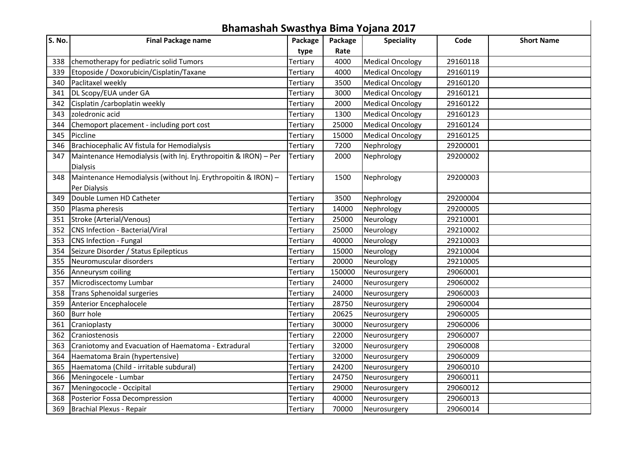|        | Bhamashah Swasthya Bima Yojana 2017                             |          |         |                         |          |                   |  |  |  |  |
|--------|-----------------------------------------------------------------|----------|---------|-------------------------|----------|-------------------|--|--|--|--|
| S. No. | <b>Final Package name</b>                                       | Package  | Package | <b>Speciality</b>       | Code     | <b>Short Name</b> |  |  |  |  |
|        |                                                                 | type     | Rate    |                         |          |                   |  |  |  |  |
| 338    | chemotherapy for pediatric solid Tumors                         | Tertiary | 4000    | <b>Medical Oncology</b> | 29160118 |                   |  |  |  |  |
| 339    | Etoposide / Doxorubicin/Cisplatin/Taxane                        | Tertiary | 4000    | <b>Medical Oncology</b> | 29160119 |                   |  |  |  |  |
| 340    | Paclitaxel weekly                                               | Tertiary | 3500    | <b>Medical Oncology</b> | 29160120 |                   |  |  |  |  |
| 341    | DL Scopy/EUA under GA                                           | Tertiary | 3000    | <b>Medical Oncology</b> | 29160121 |                   |  |  |  |  |
| 342    | Cisplatin / carboplatin weekly                                  | Tertiary | 2000    | <b>Medical Oncology</b> | 29160122 |                   |  |  |  |  |
| 343    | zoledronic acid                                                 | Tertiary | 1300    | <b>Medical Oncology</b> | 29160123 |                   |  |  |  |  |
| 344    | Chemoport placement - including port cost                       | Tertiary | 25000   | <b>Medical Oncology</b> | 29160124 |                   |  |  |  |  |
| 345    | Piccline                                                        | Tertiary | 15000   | <b>Medical Oncology</b> | 29160125 |                   |  |  |  |  |
| 346    | Brachiocephalic AV fistula for Hemodialysis                     | Tertiary | 7200    | Nephrology              | 29200001 |                   |  |  |  |  |
| 347    | Maintenance Hemodialysis (with Inj. Erythropoitin & IRON) - Per | Tertiary | 2000    | Nephrology              | 29200002 |                   |  |  |  |  |
|        | <b>Dialysis</b>                                                 |          |         |                         |          |                   |  |  |  |  |
| 348    | Maintenance Hemodialysis (without Inj. Erythropoitin & IRON) -  | Tertiary | 1500    | Nephrology              | 29200003 |                   |  |  |  |  |
|        | Per Dialysis                                                    |          |         |                         |          |                   |  |  |  |  |
| 349    | Double Lumen HD Catheter                                        | Tertiary | 3500    | Nephrology              | 29200004 |                   |  |  |  |  |
| 350    | Plasma pheresis                                                 | Tertiary | 14000   | Nephrology              | 29200005 |                   |  |  |  |  |
|        | 351 Stroke (Arterial/Venous)                                    | Tertiary | 25000   | Neurology               | 29210001 |                   |  |  |  |  |
| 352    | CNS Infection - Bacterial/Viral                                 | Tertiary | 25000   | Neurology               | 29210002 |                   |  |  |  |  |
| 353    | CNS Infection - Fungal                                          | Tertiary | 40000   | Neurology               | 29210003 |                   |  |  |  |  |
| 354    | Seizure Disorder / Status Epilepticus                           | Tertiary | 15000   | Neurology               | 29210004 |                   |  |  |  |  |
| 355    | Neuromuscular disorders                                         | Tertiary | 20000   | Neurology               | 29210005 |                   |  |  |  |  |
| 356    | Anneurysm coiling                                               | Tertiary | 150000  | Neurosurgery            | 29060001 |                   |  |  |  |  |
| 357    | Microdiscectomy Lumbar                                          | Tertiary | 24000   | Neurosurgery            | 29060002 |                   |  |  |  |  |
| 358    | Trans Sphenoidal surgeries                                      | Tertiary | 24000   | Neurosurgery            | 29060003 |                   |  |  |  |  |
| 359    | Anterior Encephalocele                                          | Tertiary | 28750   | Neurosurgery            | 29060004 |                   |  |  |  |  |
| 360    | <b>Burr hole</b>                                                | Tertiary | 20625   | Neurosurgery            | 29060005 |                   |  |  |  |  |
| 361    | Cranioplasty                                                    | Tertiary | 30000   | Neurosurgery            | 29060006 |                   |  |  |  |  |
| 362    | Craniostenosis                                                  | Tertiary | 22000   | Neurosurgery            | 29060007 |                   |  |  |  |  |
| 363    | Craniotomy and Evacuation of Haematoma - Extradural             | Tertiary | 32000   | Neurosurgery            | 29060008 |                   |  |  |  |  |
| 364    | Haematoma Brain (hypertensive)                                  | Tertiary | 32000   | Neurosurgery            | 29060009 |                   |  |  |  |  |
| 365    | Haematoma (Child - irritable subdural)                          | Tertiary | 24200   | Neurosurgery            | 29060010 |                   |  |  |  |  |
| 366    | Meningocele - Lumbar                                            | Tertiary | 24750   | Neurosurgery            | 29060011 |                   |  |  |  |  |
| 367    | Meningococle - Occipital                                        | Tertiary | 29000   | Neurosurgery            | 29060012 |                   |  |  |  |  |
| 368    | Posterior Fossa Decompression                                   | Tertiary | 40000   | Neurosurgery            | 29060013 |                   |  |  |  |  |
| 369    | Brachial Plexus - Repair                                        | Tertiary | 70000   | Neurosurgery            | 29060014 |                   |  |  |  |  |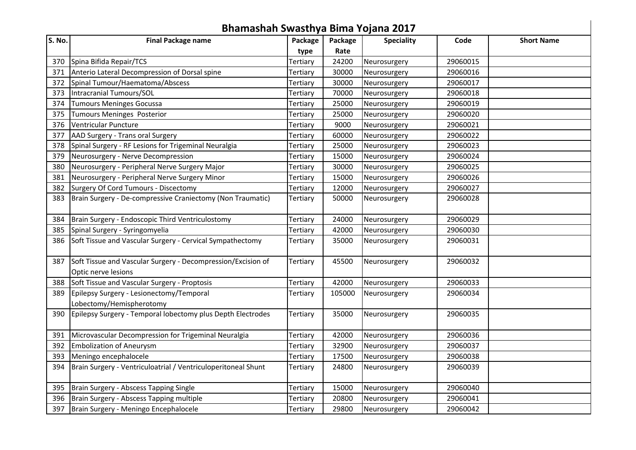|        | Bhamashah Swasthya Bima Yojana 2017                                                 |          |         |                   |          |                   |
|--------|-------------------------------------------------------------------------------------|----------|---------|-------------------|----------|-------------------|
| S. No. | <b>Final Package name</b>                                                           | Package  | Package | <b>Speciality</b> | Code     | <b>Short Name</b> |
|        |                                                                                     | type     | Rate    |                   |          |                   |
|        | 370 Spina Bifida Repair/TCS                                                         | Tertiary | 24200   | Neurosurgery      | 29060015 |                   |
|        | 371 Anterio Lateral Decompression of Dorsal spine                                   | Tertiary | 30000   | Neurosurgery      | 29060016 |                   |
|        | 372 Spinal Tumour/Haematoma/Abscess                                                 | Tertiary | 30000   | Neurosurgery      | 29060017 |                   |
|        | 373   Intracranial Tumours/SOL                                                      | Tertiary | 70000   | Neurosurgery      | 29060018 |                   |
| 374    | Tumours Meninges Gocussa                                                            | Tertiary | 25000   | Neurosurgery      | 29060019 |                   |
| 375    | Tumours Meninges Posterior                                                          | Tertiary | 25000   | Neurosurgery      | 29060020 |                   |
| 376    | Ventricular Puncture                                                                | Tertiary | 9000    | Neurosurgery      | 29060021 |                   |
| 377    | AAD Surgery - Trans oral Surgery                                                    | Tertiary | 60000   | Neurosurgery      | 29060022 |                   |
|        | 378 Spinal Surgery - RF Lesions for Trigeminal Neuralgia                            | Tertiary | 25000   | Neurosurgery      | 29060023 |                   |
| 379    | Neurosurgery - Nerve Decompression                                                  | Tertiary | 15000   | Neurosurgery      | 29060024 |                   |
| 380    | Neurosurgery - Peripheral Nerve Surgery Major                                       | Tertiary | 30000   | Neurosurgery      | 29060025 |                   |
| 381    | Neurosurgery - Peripheral Nerve Surgery Minor                                       | Tertiary | 15000   | Neurosurgery      | 29060026 |                   |
|        | 382 Surgery Of Cord Tumours - Discectomy                                            | Tertiary | 12000   | Neurosurgery      | 29060027 |                   |
| 383    | Brain Surgery - De-compressive Craniectomy (Non Traumatic)                          | Tertiary | 50000   | Neurosurgery      | 29060028 |                   |
| 384    | Brain Surgery - Endoscopic Third Ventriculostomy                                    | Tertiary | 24000   | Neurosurgery      | 29060029 |                   |
| 385    | Spinal Surgery - Syringomyelia                                                      | Tertiary | 42000   | Neurosurgery      | 29060030 |                   |
| 386    | Soft Tissue and Vascular Surgery - Cervical Sympathectomy                           | Tertiary | 35000   | Neurosurgery      | 29060031 |                   |
| 387    | Soft Tissue and Vascular Surgery - Decompression/Excision of<br>Optic nerve lesions | Tertiary | 45500   | Neurosurgery      | 29060032 |                   |
| 388    | Soft Tissue and Vascular Surgery - Proptosis                                        | Tertiary | 42000   | Neurosurgery      | 29060033 |                   |
| 389    | Epilepsy Surgery - Lesionectomy/Temporal<br>Lobectomy/Hemispherotomy                | Tertiary | 105000  | Neurosurgery      | 29060034 |                   |
| 390    | Epilepsy Surgery - Temporal lobectomy plus Depth Electrodes                         | Tertiary | 35000   | Neurosurgery      | 29060035 |                   |
| 391    | Microvascular Decompression for Trigeminal Neuralgia                                | Tertiary | 42000   | Neurosurgery      | 29060036 |                   |
| 392    | Embolization of Aneurysm                                                            | Tertiary | 32900   | Neurosurgery      | 29060037 |                   |
| 393    | Meningo encephalocele                                                               | Tertiary | 17500   | Neurosurgery      | 29060038 |                   |
| 394    | Brain Surgery - Ventriculoatrial / Ventriculoperitoneal Shunt                       | Tertiary | 24800   | Neurosurgery      | 29060039 |                   |
| 395    | Brain Surgery - Abscess Tapping Single                                              | Tertiary | 15000   | Neurosurgery      | 29060040 |                   |
| 396    | Brain Surgery - Abscess Tapping multiple                                            | Tertiary | 20800   | Neurosurgery      | 29060041 |                   |
| 397    | Brain Surgery - Meningo Encephalocele                                               | Tertiary | 29800   | Neurosurgery      | 29060042 |                   |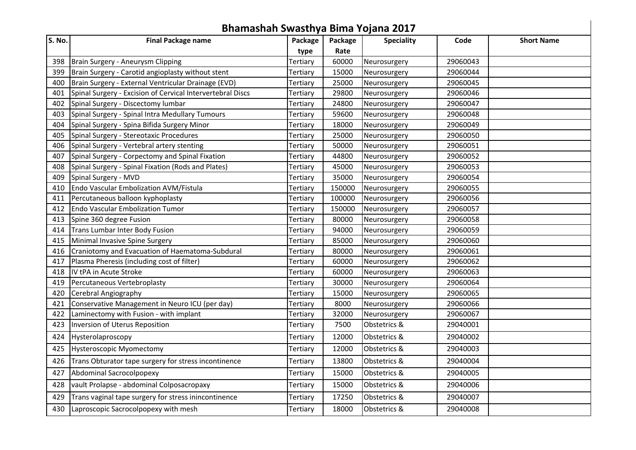|        |                                                            |          |         | Bhamashah Swasthya Bima Yojana 2017 |          |                   |
|--------|------------------------------------------------------------|----------|---------|-------------------------------------|----------|-------------------|
| S. No. | <b>Final Package name</b>                                  | Package  | Package | <b>Speciality</b>                   | Code     | <b>Short Name</b> |
|        |                                                            | type     | Rate    |                                     |          |                   |
| 398    | Brain Surgery - Aneurysm Clipping                          | Tertiary | 60000   | Neurosurgery                        | 29060043 |                   |
| 399    | Brain Surgery - Carotid angioplasty without stent          | Tertiary | 15000   | Neurosurgery                        | 29060044 |                   |
| 400    | Brain Surgery - External Ventricular Drainage (EVD)        | Tertiary | 25000   | Neurosurgery                        | 29060045 |                   |
| 401    | Spinal Surgery - Excision of Cervical Intervertebral Discs | Tertiary | 29800   | Neurosurgery                        | 29060046 |                   |
| 402    | Spinal Surgery - Discectomy lumbar                         | Tertiary | 24800   | Neurosurgery                        | 29060047 |                   |
| 403    | Spinal Surgery - Spinal Intra Medullary Tumours            | Tertiary | 59600   | Neurosurgery                        | 29060048 |                   |
| 404    | Spinal Surgery - Spina Bifida Surgery Minor                | Tertiary | 18000   | Neurosurgery                        | 29060049 |                   |
| 405    | Spinal Surgery - Stereotaxic Procedures                    | Tertiary | 25000   | Neurosurgery                        | 29060050 |                   |
| 406    | Spinal Surgery - Vertebral artery stenting                 | Tertiary | 50000   | Neurosurgery                        | 29060051 |                   |
| 407    | Spinal Surgery - Corpectomy and Spinal Fixation            | Tertiary | 44800   | Neurosurgery                        | 29060052 |                   |
| 408    | Spinal Surgery - Spinal Fixation (Rods and Plates)         | Tertiary | 45000   | Neurosurgery                        | 29060053 |                   |
| 409    | Spinal Surgery - MVD                                       | Tertiary | 35000   | Neurosurgery                        | 29060054 |                   |
| 410    | Endo Vascular Embolization AVM/Fistula                     | Tertiary | 150000  | Neurosurgery                        | 29060055 |                   |
| 411    | Percutaneous balloon kyphoplasty                           | Tertiary | 100000  | Neurosurgery                        | 29060056 |                   |
| 412    | <b>Endo Vascular Embolization Tumor</b>                    | Tertiary | 150000  | Neurosurgery                        | 29060057 |                   |
| 413    | Spine 360 degree Fusion                                    | Tertiary | 80000   | Neurosurgery                        | 29060058 |                   |
| 414    | Trans Lumbar Inter Body Fusion                             | Tertiary | 94000   | Neurosurgery                        | 29060059 |                   |
| 415    | Minimal Invasive Spine Surgery                             | Tertiary | 85000   | Neurosurgery                        | 29060060 |                   |
| 416    | Craniotomy and Evacuation of Haematoma-Subdural            | Tertiary | 80000   | Neurosurgery                        | 29060061 |                   |
| 417    | Plasma Pheresis (including cost of filter)                 | Tertiary | 60000   | Neurosurgery                        | 29060062 |                   |
| 418    | IV tPA in Acute Stroke                                     | Tertiary | 60000   | Neurosurgery                        | 29060063 |                   |
| 419    | Percutaneous Vertebroplasty                                | Tertiary | 30000   | Neurosurgery                        | 29060064 |                   |
| 420    | Cerebral Angiography                                       | Tertiary | 15000   | Neurosurgery                        | 29060065 |                   |
| 421    | Conservative Management in Neuro ICU (per day)             | Tertiary | 8000    | Neurosurgery                        | 29060066 |                   |
| 422    | Laminectomy with Fusion - with implant                     | Tertiary | 32000   | Neurosurgery                        | 29060067 |                   |
| 423    | Inversion of Uterus Reposition                             | Tertiary | 7500    | Obstetrics &                        | 29040001 |                   |
| 424    | Hysterolaproscopy                                          | Tertiary | 12000   | Obstetrics &                        | 29040002 |                   |
| 425    | <b>Hysteroscopic Myomectomy</b>                            | Tertiary | 12000   | Obstetrics &                        | 29040003 |                   |
| 426    | Trans Obturator tape surgery for stress incontinence       | Tertiary | 13800   | Obstetrics &                        | 29040004 |                   |
| 427    | Abdominal Sacrocolpopexy                                   | Tertiary | 15000   | Obstetrics &                        | 29040005 |                   |
| 428    | vault Prolapse - abdominal Colposacropaxy                  | Tertiary | 15000   | Obstetrics &                        | 29040006 |                   |
| 429    | Trans vaginal tape surgery for stress inincontinence       | Tertiary | 17250   | Obstetrics &                        | 29040007 |                   |
| 430    | Laproscopic Sacrocolpopexy with mesh                       | Tertiary | 18000   | Obstetrics &                        | 29040008 |                   |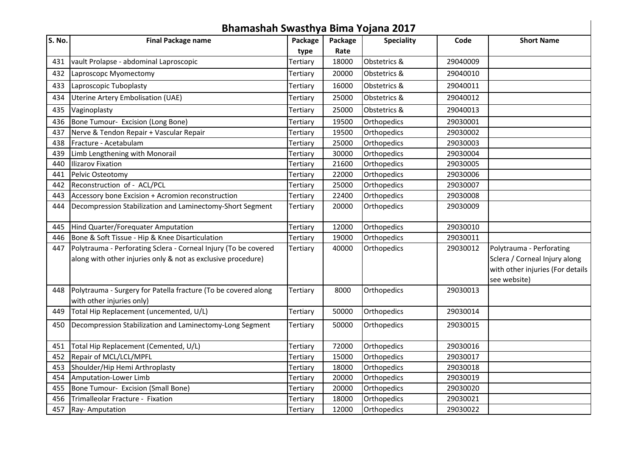|        | Bhamashah Swasthya Bima Yojana 2017                             |                 |         |                   |          |                                  |
|--------|-----------------------------------------------------------------|-----------------|---------|-------------------|----------|----------------------------------|
| S. No. | <b>Final Package name</b>                                       | Package         | Package | <b>Speciality</b> | Code     | <b>Short Name</b>                |
|        |                                                                 | type            | Rate    |                   |          |                                  |
| 431    | vault Prolapse - abdominal Laproscopic                          | Tertiary        | 18000   | Obstetrics &      | 29040009 |                                  |
| 432    | Laproscopc Myomectomy                                           | Tertiary        | 20000   | Obstetrics &      | 29040010 |                                  |
| 433    | Laproscopic Tuboplasty                                          | Tertiary        | 16000   | Obstetrics &      | 29040011 |                                  |
| 434    | <b>Uterine Artery Embolisation (UAE)</b>                        | Tertiary        | 25000   | Obstetrics &      | 29040012 |                                  |
| 435    | Vaginoplasty                                                    | Tertiary        | 25000   | Obstetrics &      | 29040013 |                                  |
| 436    | Bone Tumour- Excision (Long Bone)                               | Tertiary        | 19500   | Orthopedics       | 29030001 |                                  |
| 437    | Nerve & Tendon Repair + Vascular Repair                         | Tertiary        | 19500   | Orthopedics       | 29030002 |                                  |
| 438    | Fracture - Acetabulam                                           | Tertiary        | 25000   | Orthopedics       | 29030003 |                                  |
| 439    | Limb Lengthening with Monorail                                  | Tertiary        | 30000   | Orthopedics       | 29030004 |                                  |
| 440    | <b>Ilizarov Fixation</b>                                        | Tertiary        | 21600   | Orthopedics       | 29030005 |                                  |
| 441    | Pelvic Osteotomy                                                | Tertiary        | 22000   | Orthopedics       | 29030006 |                                  |
| 442    | Reconstruction of - ACL/PCL                                     | Tertiary        | 25000   | Orthopedics       | 29030007 |                                  |
| 443    | Accessory bone Excision + Acromion reconstruction               | Tertiary        | 22400   | Orthopedics       | 29030008 |                                  |
| 444    | Decompression Stabilization and Laminectomy-Short Segment       | Tertiary        | 20000   | Orthopedics       | 29030009 |                                  |
| 445    | Hind Quarter/Forequater Amputation                              | Tertiary        | 12000   | Orthopedics       | 29030010 |                                  |
| 446    | Bone & Soft Tissue - Hip & Knee Disarticulation                 | Tertiary        | 19000   | Orthopedics       | 29030011 |                                  |
| 447    | Polytrauma - Perforating Sclera - Corneal Injury (To be covered | Tertiary        | 40000   | Orthopedics       | 29030012 | Polytrauma - Perforating         |
|        | along with other injuries only & not as exclusive procedure)    |                 |         |                   |          | Sclera / Corneal Injury along    |
|        |                                                                 |                 |         |                   |          | with other injuries (For details |
|        |                                                                 |                 |         |                   |          | see website)                     |
| 448    | Polytrauma - Surgery for Patella fracture (To be covered along  | Tertiary        | 8000    | Orthopedics       | 29030013 |                                  |
|        | with other injuries only)                                       |                 |         |                   |          |                                  |
| 449    | Total Hip Replacement (uncemented, U/L)                         | Tertiary        | 50000   | Orthopedics       | 29030014 |                                  |
| 450    | Decompression Stabilization and Laminectomy-Long Segment        | Tertiary        | 50000   | Orthopedics       | 29030015 |                                  |
| 451    | Total Hip Replacement (Cemented, U/L)                           | Tertiary        | 72000   | Orthopedics       | 29030016 |                                  |
| 452    | Repair of MCL/LCL/MPFL                                          | Tertiary        | 15000   | Orthopedics       | 29030017 |                                  |
| 453    | Shoulder/Hip Hemi Arthroplasty                                  | Tertiary        | 18000   | Orthopedics       | 29030018 |                                  |
| 454    | Amputation-Lower Limb                                           | Tertiary        | 20000   | Orthopedics       | 29030019 |                                  |
| 455    | Bone Tumour- Excision (Small Bone)                              | Tertiary        | 20000   | Orthopedics       | 29030020 |                                  |
| 456    | Trimalleolar Fracture - Fixation                                | <b>Tertiary</b> | 18000   | Orthopedics       | 29030021 |                                  |
|        | 457 Ray-Amputation                                              | Tertiary        | 12000   | Orthopedics       | 29030022 |                                  |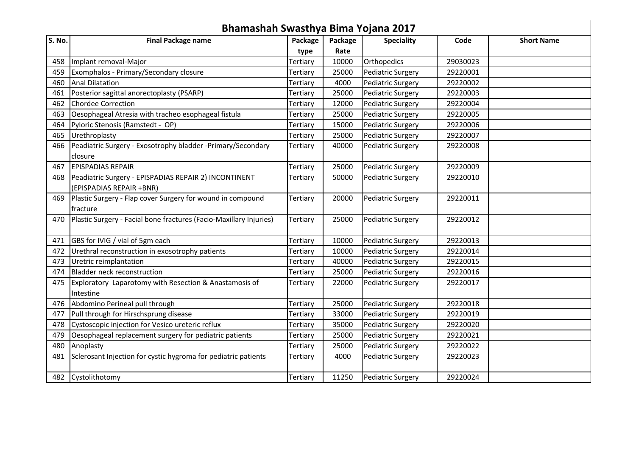|        | Bhamashah Swasthya Bima Yojana 2017                                |          |         |                          |          |                   |
|--------|--------------------------------------------------------------------|----------|---------|--------------------------|----------|-------------------|
| S. No. | <b>Final Package name</b>                                          | Package  | Package | <b>Speciality</b>        | Code     | <b>Short Name</b> |
|        |                                                                    | type     | Rate    |                          |          |                   |
| 458    | Implant removal-Major                                              | Tertiary | 10000   | Orthopedics              | 29030023 |                   |
| 459    | Exomphalos - Primary/Secondary closure                             | Tertiary | 25000   | <b>Pediatric Surgery</b> | 29220001 |                   |
| 460    | <b>Anal Dilatation</b>                                             | Tertiary | 4000    | <b>Pediatric Surgery</b> | 29220002 |                   |
| 461    | Posterior sagittal anorectoplasty (PSARP)                          | Tertiary | 25000   | Pediatric Surgery        | 29220003 |                   |
| 462    | <b>Chordee Correction</b>                                          | Tertiary | 12000   | <b>Pediatric Surgery</b> | 29220004 |                   |
| 463    | Oesophageal Atresia with tracheo esophageal fistula                | Tertiary | 25000   | Pediatric Surgery        | 29220005 |                   |
| 464    | Pyloric Stenosis (Ramstedt - OP)                                   | Tertiary | 15000   | <b>Pediatric Surgery</b> | 29220006 |                   |
| 465    | Urethroplasty                                                      | Tertiary | 25000   | Pediatric Surgery        | 29220007 |                   |
| 466    | Peadiatric Surgery - Exosotrophy bladder -Primary/Secondary        | Tertiary | 40000   | Pediatric Surgery        | 29220008 |                   |
|        | closure                                                            |          |         |                          |          |                   |
| 467    | <b>EPISPADIAS REPAIR</b>                                           | Tertiary | 25000   | Pediatric Surgery        | 29220009 |                   |
| 468    | Peadiatric Surgery - EPISPADIAS REPAIR 2) INCONTINENT              | Tertiary | 50000   | <b>Pediatric Surgery</b> | 29220010 |                   |
|        | (EPISPADIAS REPAIR +BNR)                                           |          |         |                          |          |                   |
| 469    | Plastic Surgery - Flap cover Surgery for wound in compound         | Tertiary | 20000   | Pediatric Surgery        | 29220011 |                   |
|        | fracture                                                           |          |         |                          |          |                   |
| 470    | Plastic Surgery - Facial bone fractures (Facio-Maxillary Injuries) | Tertiary | 25000   | Pediatric Surgery        | 29220012 |                   |
|        |                                                                    |          |         |                          |          |                   |
| 471    | GBS for IVIG / vial of 5gm each                                    | Tertiary | 10000   | <b>Pediatric Surgery</b> | 29220013 |                   |
| 472    | Urethral reconstruction in exosotrophy patients                    | Tertiary | 10000   | <b>Pediatric Surgery</b> | 29220014 |                   |
| 473    | Uretric reimplantation                                             | Tertiary | 40000   | <b>Pediatric Surgery</b> | 29220015 |                   |
| 474    | Bladder neck reconstruction                                        | Tertiary | 25000   | <b>Pediatric Surgery</b> | 29220016 |                   |
| 475    | Exploratory Laparotomy with Resection & Anastamosis of             | Tertiary | 22000   | Pediatric Surgery        | 29220017 |                   |
|        | Intestine                                                          |          |         |                          |          |                   |
|        | 476 Abdomino Perineal pull through                                 | Tertiary | 25000   | Pediatric Surgery        | 29220018 |                   |
| 477    | Pull through for Hirschsprung disease                              | Tertiary | 33000   | <b>Pediatric Surgery</b> | 29220019 |                   |
| 478    | Cystoscopic injection for Vesico ureteric reflux                   | Tertiary | 35000   | <b>Pediatric Surgery</b> | 29220020 |                   |
| 479    | Oesophageal replacement surgery for pediatric patients             | Tertiary | 25000   | <b>Pediatric Surgery</b> | 29220021 |                   |
| 480    | Anoplasty                                                          | Tertiary | 25000   | Pediatric Surgery        | 29220022 |                   |
| 481    | Sclerosant Injection for cystic hygroma for pediatric patients     | Tertiary | 4000    | <b>Pediatric Surgery</b> | 29220023 |                   |
|        |                                                                    |          |         |                          |          |                   |
|        | 482 Cystolithotomy                                                 | Tertiary | 11250   | Pediatric Surgery        | 29220024 |                   |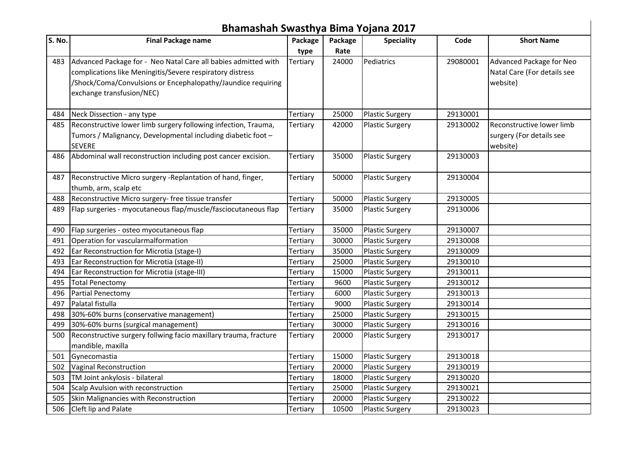|        | Bhamashah Swasthya Bima Yojana 2017                              |          |         |                        |          |                             |
|--------|------------------------------------------------------------------|----------|---------|------------------------|----------|-----------------------------|
| S. No. | <b>Final Package name</b>                                        | Package  | Package | <b>Speciality</b>      | Code     | <b>Short Name</b>           |
|        |                                                                  | type     | Rate    |                        |          |                             |
| 483    | Advanced Package for - Neo Natal Care all babies admitted with   | Tertiary | 24000   | Pediatrics             | 29080001 | Advanced Package for Neo    |
|        | complications like Meningitis/Severe respiratory distress        |          |         |                        |          | Natal Care (For details see |
|        | /Shock/Coma/Convulsions or Encephalopathy/Jaundice requiring     |          |         |                        |          | website)                    |
|        | exchange transfusion/NEC)                                        |          |         |                        |          |                             |
|        | 484 Neck Dissection - any type                                   | Tertiary | 25000   | <b>Plastic Surgery</b> | 29130001 |                             |
| 485    | Reconstructive lower limb surgery following infection, Trauma,   | Tertiary | 42000   | <b>Plastic Surgery</b> | 29130002 | Reconstructive lower limb   |
|        | Tumors / Malignancy, Developmental including diabetic foot -     |          |         |                        |          | surgery (For details see    |
|        | <b>SEVERE</b>                                                    |          |         |                        |          | website)                    |
| 486    | Abdominal wall reconstruction including post cancer excision.    | Tertiary | 35000   | <b>Plastic Surgery</b> | 29130003 |                             |
| 487    | Reconstructive Micro surgery -Replantation of hand, finger,      | Tertiary | 50000   | <b>Plastic Surgery</b> | 29130004 |                             |
|        | thumb, arm, scalp etc                                            |          |         |                        |          |                             |
| 488    | Reconstructive Micro surgery-free tissue transfer                | Tertiary | 50000   | <b>Plastic Surgery</b> | 29130005 |                             |
| 489    | Flap surgeries - myocutaneous flap/muscle/fasciocutaneous flap   | Tertiary | 35000   | <b>Plastic Surgery</b> | 29130006 |                             |
|        |                                                                  |          |         |                        |          |                             |
| 490    | Flap surgeries - osteo myocutaneous flap                         | Tertiary | 35000   | <b>Plastic Surgery</b> | 29130007 |                             |
| 491    | Operation for vascularmalformation                               | Tertiary | 30000   | <b>Plastic Surgery</b> | 29130008 |                             |
| 492    | Ear Reconstruction for Microtia (stage-I)                        | Tertiary | 35000   | <b>Plastic Surgery</b> | 29130009 |                             |
| 493    | Ear Reconstruction for Microtia (stage-II)                       | Tertiary | 25000   | <b>Plastic Surgery</b> | 29130010 |                             |
| 494    | Ear Reconstruction for Microtia (stage-III)                      | Tertiary | 15000   | <b>Plastic Surgery</b> | 29130011 |                             |
| 495    | <b>Total Penectomy</b>                                           | Tertiary | 9600    | <b>Plastic Surgery</b> | 29130012 |                             |
| 496    | Partial Penectomy                                                | Tertiary | 6000    | <b>Plastic Surgery</b> | 29130013 |                             |
| 497    | Palatal fistulla                                                 | Tertiary | 9000    | <b>Plastic Surgery</b> | 29130014 |                             |
| 498    | 30%-60% burns (conservative management)                          | Tertiary | 25000   | <b>Plastic Surgery</b> | 29130015 |                             |
| 499    | 30%-60% burns (surgical management)                              | Tertiary | 30000   | <b>Plastic Surgery</b> | 29130016 |                             |
| 500    | Reconstructive surgery follwing facio maxillary trauma, fracture | Tertiary | 20000   | <b>Plastic Surgery</b> | 29130017 |                             |
|        | mandible, maxilla                                                |          |         |                        |          |                             |
| 501    | Gynecomastia                                                     | Tertiary | 15000   | <b>Plastic Surgery</b> | 29130018 |                             |
| 502    | Vaginal Reconstruction                                           | Tertiary | 20000   | <b>Plastic Surgery</b> | 29130019 |                             |
| 503    | TM Joint ankylosis - bilateral                                   | Tertiary | 18000   | <b>Plastic Surgery</b> | 29130020 |                             |
| 504    | Scalp Avulsion with reconstruction                               | Tertiary | 25000   | <b>Plastic Surgery</b> | 29130021 |                             |
| 505    | Skin Malignancies with Reconstruction                            | Tertiary | 20000   | <b>Plastic Surgery</b> | 29130022 |                             |
| 506    | Cleft lip and Palate                                             | Tertiary | 10500   | <b>Plastic Surgery</b> | 29130023 |                             |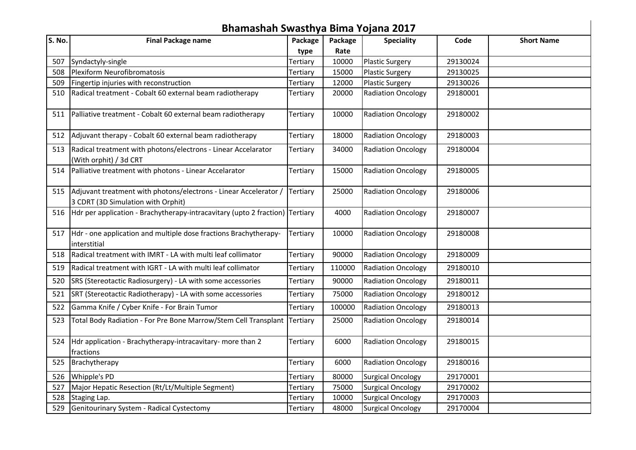|        | Bhamashah Swasthya Bima Yojana 2017                                                                        |          |         |                           |          |                   |
|--------|------------------------------------------------------------------------------------------------------------|----------|---------|---------------------------|----------|-------------------|
| S. No. | <b>Final Package name</b>                                                                                  | Package  | Package | <b>Speciality</b>         | Code     | <b>Short Name</b> |
|        |                                                                                                            | type     | Rate    |                           |          |                   |
| 507    | Syndactyly-single                                                                                          | Tertiary | 10000   | <b>Plastic Surgery</b>    | 29130024 |                   |
| 508    | Plexiform Neurofibromatosis                                                                                | Tertiary | 15000   | <b>Plastic Surgery</b>    | 29130025 |                   |
| 509    | Fingertip injuries with reconstruction                                                                     | Tertiary | 12000   | <b>Plastic Surgery</b>    | 29130026 |                   |
| 510    | Radical treatment - Cobalt 60 external beam radiotherapy                                                   | Tertiary | 20000   | <b>Radiation Oncology</b> | 29180001 |                   |
|        | 511 Palliative treatment - Cobalt 60 external beam radiotherapy                                            | Tertiary | 10000   | <b>Radiation Oncology</b> | 29180002 |                   |
|        | 512 Adjuvant therapy - Cobalt 60 external beam radiotherapy                                                | Tertiary | 18000   | <b>Radiation Oncology</b> | 29180003 |                   |
| 513    | Radical treatment with photons/electrons - Linear Accelarator<br>(With orphit) / 3d CRT                    | Tertiary | 34000   | <b>Radiation Oncology</b> | 29180004 |                   |
|        | 514 Palliative treatment with photons - Linear Accelarator                                                 | Tertiary | 15000   | <b>Radiation Oncology</b> | 29180005 |                   |
|        | 515 Adjuvant treatment with photons/electrons - Linear Accelerator /<br>3 CDRT (3D Simulation with Orphit) | Tertiary | 25000   | <b>Radiation Oncology</b> | 29180006 |                   |
|        | 516 Hdr per application - Brachytherapy-intracavitary (upto 2 fraction) Tertiary                           |          | 4000    | <b>Radiation Oncology</b> | 29180007 |                   |
| 517    | Hdr - one application and multiple dose fractions Brachytherapy-<br>interstitial                           | Tertiary | 10000   | <b>Radiation Oncology</b> | 29180008 |                   |
| 518    | Radical treatment with IMRT - LA with multi leaf collimator                                                | Tertiary | 90000   | <b>Radiation Oncology</b> | 29180009 |                   |
| 519    | Radical treatment with IGRT - LA with multi leaf collimator                                                | Tertiary | 110000  | <b>Radiation Oncology</b> | 29180010 |                   |
| 520    | SRS (Stereotactic Radiosurgery) - LA with some accessories                                                 | Tertiary | 90000   | <b>Radiation Oncology</b> | 29180011 |                   |
| 521    | SRT (Stereotactic Radiotherapy) - LA with some accessories                                                 | Tertiary | 75000   | <b>Radiation Oncology</b> | 29180012 |                   |
| 522    | Gamma Knife / Cyber Knife - For Brain Tumor                                                                | Tertiary | 100000  | <b>Radiation Oncology</b> | 29180013 |                   |
| 523    | Total Body Radiation - For Pre Bone Marrow/Stem Cell Transplant Tertiary                                   |          | 25000   | <b>Radiation Oncology</b> | 29180014 |                   |
|        | 524 Hdr application - Brachytherapy-intracavitary- more than 2<br>fractions                                | Tertiary | 6000    | <b>Radiation Oncology</b> | 29180015 |                   |
| 525    | Brachytherapy                                                                                              | Tertiary | 6000    | <b>Radiation Oncology</b> | 29180016 |                   |
| 526    | Whipple's PD                                                                                               | Tertiary | 80000   | <b>Surgical Oncology</b>  | 29170001 |                   |
| 527    | Major Hepatic Resection (Rt/Lt/Multiple Segment)                                                           | Tertiary | 75000   | <b>Surgical Oncology</b>  | 29170002 |                   |
| 528    | Staging Lap.                                                                                               | Tertiary | 10000   | <b>Surgical Oncology</b>  | 29170003 |                   |
| 529    | Genitourinary System - Radical Cystectomy                                                                  | Tertiary | 48000   | <b>Surgical Oncology</b>  | 29170004 |                   |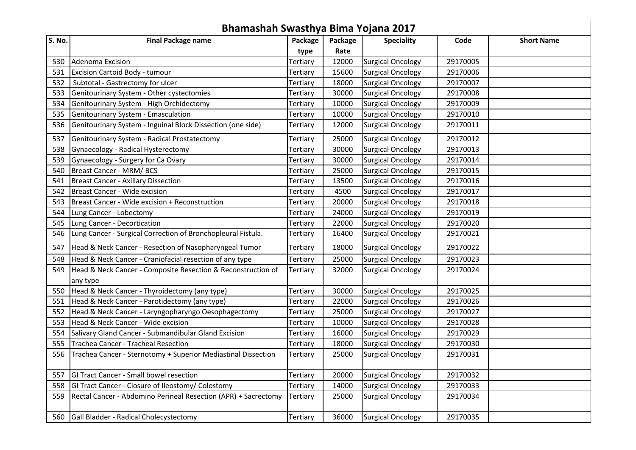|        | Bhamashah Swasthya Bima Yojana 2017                            |                 |         |                          |          |                   |
|--------|----------------------------------------------------------------|-----------------|---------|--------------------------|----------|-------------------|
| S. No. | <b>Final Package name</b>                                      | Package         | Package | <b>Speciality</b>        | Code     | <b>Short Name</b> |
|        |                                                                | type            | Rate    |                          |          |                   |
| 530    | Adenoma Excision                                               | Tertiary        | 12000   | <b>Surgical Oncology</b> | 29170005 |                   |
| 531    | Excision Cartoid Body - tumour                                 | Tertiary        | 15600   | <b>Surgical Oncology</b> | 29170006 |                   |
| 532    | Subtotal - Gastrectomy for ulcer                               | Tertiary        | 18000   | <b>Surgical Oncology</b> | 29170007 |                   |
| 533    | Genitourinary System - Other cystectomies                      | Tertiary        | 30000   | <b>Surgical Oncology</b> | 29170008 |                   |
| 534    | Genitourinary System - High Orchidectomy                       | Tertiary        | 10000   | <b>Surgical Oncology</b> | 29170009 |                   |
| 535    | Genitourinary System - Emasculation                            | Tertiary        | 10000   | <b>Surgical Oncology</b> | 29170010 |                   |
| 536    | Genitourinary System - Inguinal Block Dissection (one side)    | Tertiary        | 12000   | <b>Surgical Oncology</b> | 29170011 |                   |
| 537    | Genitourinary System - Radical Prostatectomy                   | Tertiary        | 25000   | <b>Surgical Oncology</b> | 29170012 |                   |
| 538    | Gynaecology - Radical Hysterectomy                             | Tertiary        | 30000   | <b>Surgical Oncology</b> | 29170013 |                   |
| 539    | Gynaecology - Surgery for Ca Ovary                             | Tertiary        | 30000   | <b>Surgical Oncology</b> | 29170014 |                   |
| 540    | Breast Cancer - MRM/BCS                                        | Tertiary        | 25000   | <b>Surgical Oncology</b> | 29170015 |                   |
| 541    | <b>Breast Cancer - Axillary Dissection</b>                     | Tertiary        | 13500   | <b>Surgical Oncology</b> | 29170016 |                   |
| 542    | Breast Cancer - Wide excision                                  | Tertiary        | 4500    | <b>Surgical Oncology</b> | 29170017 |                   |
| 543    | Breast Cancer - Wide excision + Reconstruction                 | Tertiary        | 20000   | <b>Surgical Oncology</b> | 29170018 |                   |
| 544    | Lung Cancer - Lobectomy                                        | Tertiary        | 24000   | <b>Surgical Oncology</b> | 29170019 |                   |
| 545    | Lung Cancer - Decortication                                    | Tertiary        | 22000   | <b>Surgical Oncology</b> | 29170020 |                   |
| 546    | Lung Cancer - Surgical Correction of Bronchopleural Fistula.   | Tertiary        | 16400   | <b>Surgical Oncology</b> | 29170021 |                   |
| 547    | Head & Neck Cancer - Resection of Nasopharyngeal Tumor         | Tertiary        | 18000   | <b>Surgical Oncology</b> | 29170022 |                   |
| 548    | Head & Neck Cancer - Craniofacial resection of any type        | Tertiary        | 25000   | <b>Surgical Oncology</b> | 29170023 |                   |
| 549    | Head & Neck Cancer - Composite Resection & Reconstruction of   | Tertiary        | 32000   | <b>Surgical Oncology</b> | 29170024 |                   |
|        | any type                                                       |                 |         |                          |          |                   |
| 550    | Head & Neck Cancer - Thyroidectomy (any type)                  | Tertiary        | 30000   | <b>Surgical Oncology</b> | 29170025 |                   |
| 551    | Head & Neck Cancer - Parotidectomy (any type)                  | Tertiary        | 22000   | <b>Surgical Oncology</b> | 29170026 |                   |
| 552    | Head & Neck Cancer - Laryngopharyngo Oesophagectomy            | Tertiary        | 25000   | <b>Surgical Oncology</b> | 29170027 |                   |
| 553    | Head & Neck Cancer - Wide excision                             | Tertiary        | 10000   | <b>Surgical Oncology</b> | 29170028 |                   |
| 554    | Salivary Gland Cancer - Submandibular Gland Excision           | Tertiary        | 16000   | <b>Surgical Oncology</b> | 29170029 |                   |
| 555    | Trachea Cancer - Tracheal Resection                            | Tertiary        | 18000   | <b>Surgical Oncology</b> | 29170030 |                   |
| 556    | Trachea Cancer - Sternotomy + Superior Mediastinal Dissection  | Tertiary        | 25000   | <b>Surgical Oncology</b> | 29170031 |                   |
| 557    | GI Tract Cancer - Small bowel resection                        | Tertiary        | 20000   | <b>Surgical Oncology</b> | 29170032 |                   |
| 558    | GI Tract Cancer - Closure of Ileostomy/ Colostomy              | Tertiary        | 14000   | <b>Surgical Oncology</b> | 29170033 |                   |
| 559    | Rectal Cancer - Abdomino Perineal Resection (APR) + Sacrectomy | <b>Tertiary</b> | 25000   | <b>Surgical Oncology</b> | 29170034 |                   |
| 560    | Gall Bladder - Radical Cholecystectomy                         | Tertiary        | 36000   | <b>Surgical Oncology</b> | 29170035 |                   |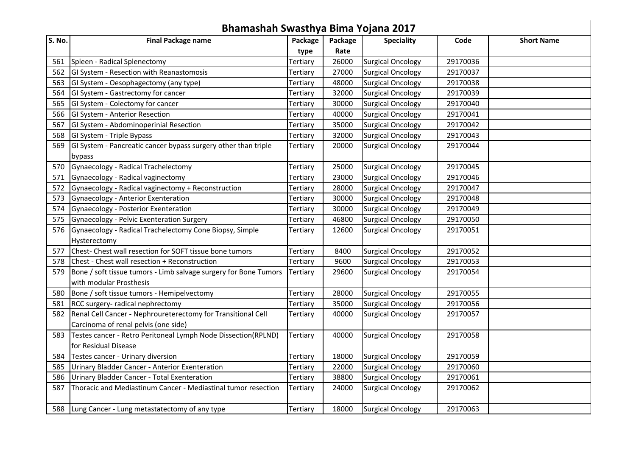|        | Bhamashah Swasthya Bima Yojana 2017                              |                 |         |                          |          |                   |
|--------|------------------------------------------------------------------|-----------------|---------|--------------------------|----------|-------------------|
| S. No. | <b>Final Package name</b>                                        | Package         | Package | <b>Speciality</b>        | Code     | <b>Short Name</b> |
|        |                                                                  | type            | Rate    |                          |          |                   |
|        | 561   Spleen - Radical Splenectomy                               | Tertiary        | 26000   | <b>Surgical Oncology</b> | 29170036 |                   |
|        | 562 GI System - Resection with Reanastomosis                     | Tertiary        | 27000   | <b>Surgical Oncology</b> | 29170037 |                   |
|        | 563 GI System - Oesophagectomy (any type)                        | Tertiary        | 48000   | <b>Surgical Oncology</b> | 29170038 |                   |
| 564    | GI System - Gastrectomy for cancer                               | Tertiary        | 32000   | <b>Surgical Oncology</b> | 29170039 |                   |
| 565    | GI System - Colectomy for cancer                                 | Tertiary        | 30000   | <b>Surgical Oncology</b> | 29170040 |                   |
| 566    | GI System - Anterior Resection                                   | Tertiary        | 40000   | <b>Surgical Oncology</b> | 29170041 |                   |
| 567    | GI System - Abdominoperinial Resection                           | Tertiary        | 35000   | <b>Surgical Oncology</b> | 29170042 |                   |
|        | 568 GI System - Triple Bypass                                    | Tertiary        | 32000   | <b>Surgical Oncology</b> | 29170043 |                   |
| 569    | GI System - Pancreatic cancer bypass surgery other than triple   | <b>Tertiary</b> | 20000   | <b>Surgical Oncology</b> | 29170044 |                   |
|        | bypass                                                           |                 |         |                          |          |                   |
| 570    | Gynaecology - Radical Trachelectomy                              | Tertiary        | 25000   | <b>Surgical Oncology</b> | 29170045 |                   |
| 571    | Gynaecology - Radical vaginectomy                                | Tertiary        | 23000   | <b>Surgical Oncology</b> | 29170046 |                   |
| 572    | Gynaecology - Radical vaginectomy + Reconstruction               | Tertiary        | 28000   | <b>Surgical Oncology</b> | 29170047 |                   |
| 573    | Gynaecology - Anterior Exenteration                              | Tertiary        | 30000   | <b>Surgical Oncology</b> | 29170048 |                   |
| 574    | Gynaecology - Posterior Exenteration                             | Tertiary        | 30000   | <b>Surgical Oncology</b> | 29170049 |                   |
| 575    | Gynaecology - Pelvic Exenteration Surgery                        | Tertiary        | 46800   | <b>Surgical Oncology</b> | 29170050 |                   |
| 576    | Gynaecology - Radical Trachelectomy Cone Biopsy, Simple          | Tertiary        | 12600   | <b>Surgical Oncology</b> | 29170051 |                   |
|        | Hysterectomy                                                     |                 |         |                          |          |                   |
| 577    | Chest-Chest wall resection for SOFT tissue bone tumors           | Tertiary        | 8400    | <b>Surgical Oncology</b> | 29170052 |                   |
| 578    | Chest - Chest wall resection + Reconstruction                    | Tertiary        | 9600    | <b>Surgical Oncology</b> | 29170053 |                   |
| 579    | Bone / soft tissue tumors - Limb salvage surgery for Bone Tumors | <b>Tertiary</b> | 29600   | <b>Surgical Oncology</b> | 29170054 |                   |
|        | with modular Prosthesis                                          |                 |         |                          |          |                   |
| 580    | Bone / soft tissue tumors - Hemipelvectomy                       | Tertiary        | 28000   | <b>Surgical Oncology</b> | 29170055 |                   |
| 581    | RCC surgery- radical nephrectomy                                 | Tertiary        | 35000   | <b>Surgical Oncology</b> | 29170056 |                   |
| 582    | Renal Cell Cancer - Nephroureterectomy for Transitional Cell     | Tertiary        | 40000   | <b>Surgical Oncology</b> | 29170057 |                   |
|        | Carcinoma of renal pelvis (one side)                             |                 |         |                          |          |                   |
| 583    | Testes cancer - Retro Peritoneal Lymph Node Dissection(RPLND)    | Tertiary        | 40000   | <b>Surgical Oncology</b> | 29170058 |                   |
|        | for Residual Disease                                             |                 |         |                          |          |                   |
| 584    | Testes cancer - Urinary diversion                                | Tertiary        | 18000   | <b>Surgical Oncology</b> | 29170059 |                   |
| 585    | Urinary Bladder Cancer - Anterior Exenteration                   | Tertiary        | 22000   | <b>Surgical Oncology</b> | 29170060 |                   |
| 586    | Urinary Bladder Cancer - Total Exenteration                      | Tertiary        | 38800   | <b>Surgical Oncology</b> | 29170061 |                   |
| 587    | Thoracic and Mediastinum Cancer - Mediastinal tumor resection    | <b>Tertiary</b> | 24000   | <b>Surgical Oncology</b> | 29170062 |                   |
|        |                                                                  |                 |         |                          |          |                   |
|        | 588 Lung Cancer - Lung metastatectomy of any type                | Tertiary        | 18000   | <b>Surgical Oncology</b> | 29170063 |                   |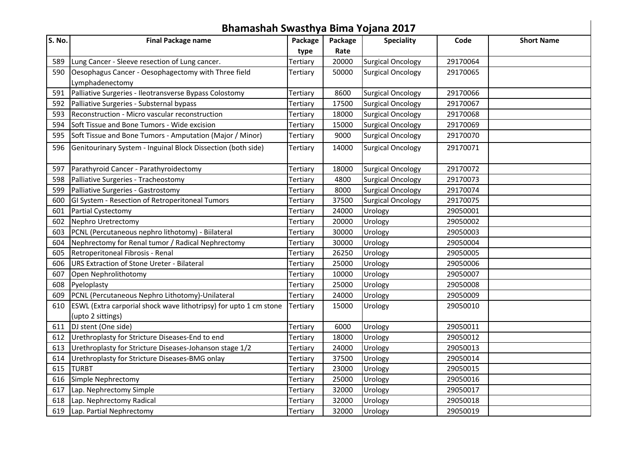|        | Bhamashah Swasthya Bima Yojana 2017                               |          |         |                          |          |                   |
|--------|-------------------------------------------------------------------|----------|---------|--------------------------|----------|-------------------|
| S. No. | <b>Final Package name</b>                                         | Package  | Package | <b>Speciality</b>        | Code     | <b>Short Name</b> |
|        |                                                                   | type     | Rate    |                          |          |                   |
| 589    | Lung Cancer - Sleeve resection of Lung cancer.                    | Tertiary | 20000   | <b>Surgical Oncology</b> | 29170064 |                   |
| 590    | Oesophagus Cancer - Oesophagectomy with Three field               | Tertiary | 50000   | <b>Surgical Oncology</b> | 29170065 |                   |
|        | Lymphadenectomy                                                   |          |         |                          |          |                   |
| 591    | Palliative Surgeries - Ileotransverse Bypass Colostomy            | Tertiary | 8600    | <b>Surgical Oncology</b> | 29170066 |                   |
| 592    | Palliative Surgeries - Substernal bypass                          | Tertiary | 17500   | <b>Surgical Oncology</b> | 29170067 |                   |
| 593    | Reconstruction - Micro vascular reconstruction                    | Tertiary | 18000   | <b>Surgical Oncology</b> | 29170068 |                   |
| 594    | Soft Tissue and Bone Tumors - Wide excision                       | Tertiary | 15000   | <b>Surgical Oncology</b> | 29170069 |                   |
| 595    | Soft Tissue and Bone Tumors - Amputation (Major / Minor)          | Tertiary | 9000    | <b>Surgical Oncology</b> | 29170070 |                   |
| 596    | Genitourinary System - Inguinal Block Dissection (both side)      | Tertiary | 14000   | <b>Surgical Oncology</b> | 29170071 |                   |
|        |                                                                   |          |         |                          |          |                   |
| 597    | Parathyroid Cancer - Parathyroidectomy                            | Tertiary | 18000   | <b>Surgical Oncology</b> | 29170072 |                   |
| 598    | Palliative Surgeries - Tracheostomy                               | Tertiary | 4800    | <b>Surgical Oncology</b> | 29170073 |                   |
| 599    | Palliative Surgeries - Gastrostomy                                | Tertiary | 8000    | <b>Surgical Oncology</b> | 29170074 |                   |
| 600    | GI System - Resection of Retroperitoneal Tumors                   | Tertiary | 37500   | <b>Surgical Oncology</b> | 29170075 |                   |
| 601    | Partial Cystectomy                                                | Tertiary | 24000   | Urology                  | 29050001 |                   |
| 602    | Nephro Uretrectomy                                                | Tertiary | 20000   | Urology                  | 29050002 |                   |
| 603    | PCNL (Percutaneous nephro lithotomy) - Biilateral                 | Tertiary | 30000   | Urology                  | 29050003 |                   |
| 604    | Nephrectomy for Renal tumor / Radical Nephrectomy                 | Tertiary | 30000   | Urology                  | 29050004 |                   |
| 605    | Retroperitoneal Fibrosis - Renal                                  | Tertiary | 26250   | Urology                  | 29050005 |                   |
| 606    | <b>URS Extraction of Stone Ureter - Bilateral</b>                 | Tertiary | 25000   | Urology                  | 29050006 |                   |
| 607    | Open Nephrolithotomy                                              | Tertiary | 10000   | Urology                  | 29050007 |                   |
| 608    | Pyeloplasty                                                       | Tertiary | 25000   | Urology                  | 29050008 |                   |
| 609    | PCNL (Percutaneous Nephro Lithotomy)-Unilateral                   | Tertiary | 24000   | Urology                  | 29050009 |                   |
| 610    | ESWL (Extra carporial shock wave lithotripsy) for upto 1 cm stone | Tertiary | 15000   | Urology                  | 29050010 |                   |
|        | (upto 2 sittings)                                                 |          |         |                          |          |                   |
| 611    | DJ stent (One side)                                               | Tertiary | 6000    | Urology                  | 29050011 |                   |
|        | 612 Urethroplasty for Stricture Diseases-End to end               | Tertiary | 18000   | Urology                  | 29050012 |                   |
| 613    | Urethroplasty for Stricture Diseases-Johanson stage 1/2           | Tertiary | 24000   | Urology                  | 29050013 |                   |
|        | 614 Urethroplasty for Stricture Diseases-BMG onlay                | Tertiary | 37500   | Urology                  | 29050014 |                   |
|        | 615 TURBT                                                         | Tertiary | 23000   | Urology                  | 29050015 |                   |
| 616    | Simple Nephrectomy                                                | Tertiary | 25000   | Urology                  | 29050016 |                   |
| 617    | Lap. Nephrectomy Simple                                           | Tertiary | 32000   | Urology                  | 29050017 |                   |
| 618    | Lap. Nephrectomy Radical                                          | Tertiary | 32000   | Urology                  | 29050018 |                   |
|        | 619 Lap. Partial Nephrectomy                                      | Tertiary | 32000   | Urology                  | 29050019 |                   |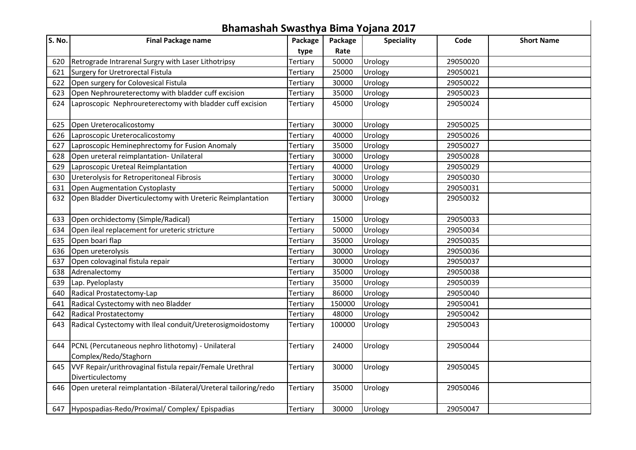|        | Bhamashah Swasthya Bima Yojana 2017                                          |          |         |                   |          |                   |
|--------|------------------------------------------------------------------------------|----------|---------|-------------------|----------|-------------------|
| S. No. | <b>Final Package name</b>                                                    | Package  | Package | <b>Speciality</b> | Code     | <b>Short Name</b> |
|        |                                                                              | type     | Rate    |                   |          |                   |
| 620    | Retrograde Intrarenal Surgry with Laser Lithotripsy                          | Tertiary | 50000   | Urology           | 29050020 |                   |
| 621    | Surgery for Uretrorectal Fistula                                             | Tertiary | 25000   | Urology           | 29050021 |                   |
| 622    | Open surgery for Colovesical Fistula                                         | Tertiary | 30000   | Urology           | 29050022 |                   |
| 623    | Open Nephroureterectomy with bladder cuff excision                           | Tertiary | 35000   | Urology           | 29050023 |                   |
| 624    | Laproscopic Nephroureterectomy with bladder cuff excision                    | Tertiary | 45000   | Urology           | 29050024 |                   |
| 625    | Open Ureterocalicostomy                                                      | Tertiary | 30000   | Urology           | 29050025 |                   |
| 626    | Laproscopic Ureterocalicostomy                                               | Tertiary | 40000   | Urology           | 29050026 |                   |
| 627    | Laproscopic Heminephrectomy for Fusion Anomaly                               | Tertiary | 35000   | Urology           | 29050027 |                   |
| 628    | Open ureteral reimplantation- Unilateral                                     | Tertiary | 30000   | Urology           | 29050028 |                   |
| 629    | Laproscopic Ureteal Reimplantation                                           | Tertiary | 40000   | Urology           | 29050029 |                   |
| 630    | Ureterolysis for Retroperitoneal Fibrosis                                    | Tertiary | 30000   | Urology           | 29050030 |                   |
| 631    | Open Augmentation Cystoplasty                                                | Tertiary | 50000   | Urology           | 29050031 |                   |
| 632    | Open Bladder Diverticulectomy with Ureteric Reimplantation                   | Tertiary | 30000   | Urology           | 29050032 |                   |
| 633    | Open orchidectomy (Simple/Radical)                                           | Tertiary | 15000   | Urology           | 29050033 |                   |
| 634    | Open ileal replacement for ureteric stricture                                | Tertiary | 50000   | Urology           | 29050034 |                   |
| 635    | Open boari flap                                                              | Tertiary | 35000   | Urology           | 29050035 |                   |
| 636    | Open ureterolysis                                                            | Tertiary | 30000   | Urology           | 29050036 |                   |
| 637    | Open colovaginal fistula repair                                              | Tertiary | 30000   | Urology           | 29050037 |                   |
| 638    | Adrenalectomy                                                                | Tertiary | 35000   | Urology           | 29050038 |                   |
| 639    | Lap. Pyeloplasty                                                             | Tertiary | 35000   | Urology           | 29050039 |                   |
| 640    | Radical Prostatectomy-Lap                                                    | Tertiary | 86000   | Urology           | 29050040 |                   |
| 641    | Radical Cystectomy with neo Bladder                                          | Tertiary | 150000  | Urology           | 29050041 |                   |
| 642    | Radical Prostatectomy                                                        | Tertiary | 48000   | Urology           | 29050042 |                   |
| 643    | Radical Cystectomy with Ileal conduit/Ureterosigmoidostomy                   | Tertiary | 100000  | Urology           | 29050043 |                   |
| 644    | PCNL (Percutaneous nephro lithotomy) - Unilateral<br>Complex/Redo/Staghorn   | Tertiary | 24000   | Urology           | 29050044 |                   |
| 645    | VVF Repair/urithrovaginal fistula repair/Female Urethral<br>Diverticulectomy | Tertiary | 30000   | Urology           | 29050045 |                   |
| 646    | Open ureteral reimplantation -Bilateral/Ureteral tailoring/redo              | Tertiary | 35000   | Urology           | 29050046 |                   |
| 647    | Hypospadias-Redo/Proximal/ Complex/ Epispadias                               | Tertiary | 30000   | Urology           | 29050047 |                   |